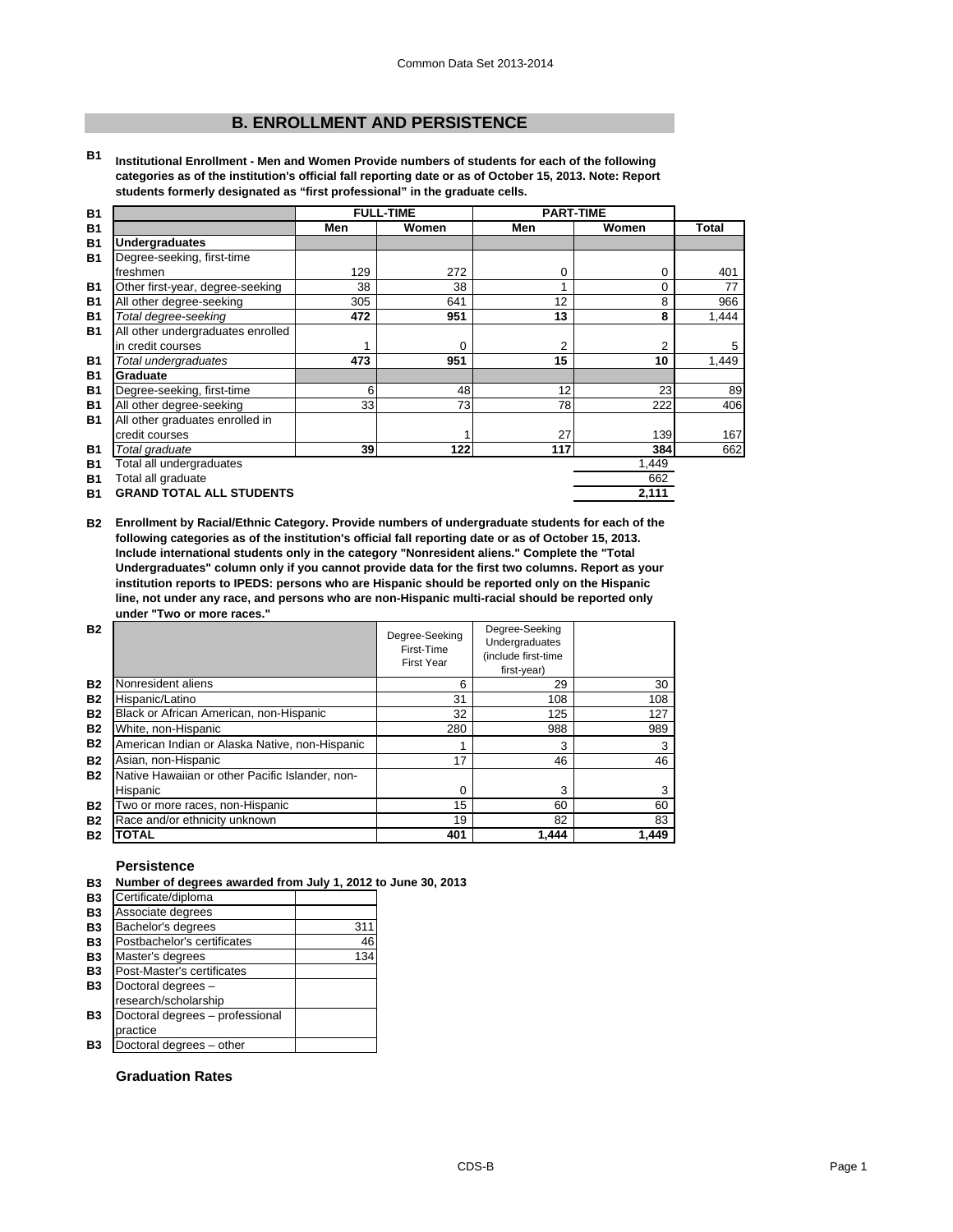# **B. ENROLLMENT AND PERSISTENCE**

**B1 Institutional Enrollment - Men and Women Provide numbers of students for each of the following categories as of the institution's official fall reporting date or as of October 15, 2013. Note: Report students formerly designated as "first professional" in the graduate cells.**

| <b>B1</b> |                                   | <b>FULL-TIME</b><br><b>PART-TIME</b> |          |     |       |              |
|-----------|-----------------------------------|--------------------------------------|----------|-----|-------|--------------|
| <b>B1</b> |                                   | Men                                  | Women    | Men | Women | <b>Total</b> |
| <b>B1</b> | <b>Undergraduates</b>             |                                      |          |     |       |              |
| <b>B1</b> | Degree-seeking, first-time        |                                      |          |     |       |              |
|           | freshmen                          | 129                                  | 272      | 0   | 0     | 401          |
| <b>B1</b> | Other first-year, degree-seeking  | 38                                   | 38       | 1   | 0     | 77           |
| <b>B1</b> | All other degree-seeking          | 305                                  | 641      | 12  | 8     | 966          |
| <b>B1</b> | Total degree-seeking              | 472                                  | 951      | 13  | 8     | 1,444        |
| <b>B1</b> | All other undergraduates enrolled |                                      |          |     |       |              |
|           | in credit courses                 |                                      | $\Omega$ | 2   | 2     | 5            |
| <b>B1</b> | Total undergraduates              | 473                                  | 951      | 15  | 10    | 1,449        |
| <b>B1</b> | Graduate                          |                                      |          |     |       |              |
| <b>B1</b> | Degree-seeking, first-time        | 6                                    | 48       | 12  | 23    | 89           |
| <b>B1</b> | All other degree-seeking          | 33                                   | 73       | 78  | 222   | 406          |
| <b>B1</b> | All other graduates enrolled in   |                                      |          |     |       |              |
|           | credit courses                    |                                      |          | 27  | 139   | 167          |
| <b>B1</b> | Total graduate                    | 39                                   | 122      | 117 | 384   | 662          |
| <b>B1</b> | Total all undergraduates          |                                      |          |     | 1,449 |              |
| <b>B1</b> | Total all graduate                |                                      |          |     | 662   |              |
| <b>B1</b> | <b>GRAND TOTAL ALL STUDENTS</b>   |                                      |          |     | 2,111 |              |

**B2 Enrollment by Racial/Ethnic Category. Provide numbers of undergraduate students for each of the following categories as of the institution's official fall reporting date or as of October 15, 2013. Include international students only in the category "Nonresident aliens." Complete the "Total Undergraduates" column only if you cannot provide data for the first two columns. Report as your institution reports to IPEDS: persons who are Hispanic should be reported only on the Hispanic line, not under any race, and persons who are non-Hispanic multi-racial should be reported only under "Two or more races."** 

| <b>B2</b> |                                                 | Degree-Seeking<br>First-Time<br>First Year | Degree-Seeking<br>Undergraduates<br>(include first-time<br>first-year) |       |
|-----------|-------------------------------------------------|--------------------------------------------|------------------------------------------------------------------------|-------|
| <b>B2</b> | Nonresident aliens                              | 6                                          | 29                                                                     | 30    |
| <b>B2</b> | Hispanic/Latino                                 | 31                                         | 108                                                                    | 108   |
| <b>B2</b> | Black or African American, non-Hispanic         | 32                                         | 125                                                                    | 127   |
| <b>B2</b> | White, non-Hispanic                             | 280                                        | 988                                                                    | 989   |
| <b>B2</b> | American Indian or Alaska Native, non-Hispanic  |                                            | 3                                                                      | 3     |
| <b>B2</b> | Asian, non-Hispanic                             | 17                                         | 46                                                                     | 46    |
| <b>B2</b> | Native Hawaiian or other Pacific Islander, non- |                                            |                                                                        |       |
|           | Hispanic                                        | 0                                          | 3                                                                      |       |
| <b>B2</b> | Two or more races, non-Hispanic                 | 15                                         | 60                                                                     | 60    |
| <b>B2</b> | Race and/or ethnicity unknown                   | 19                                         | 82                                                                     | 83    |
| <b>B2</b> | <b>TOTAL</b>                                    | 401                                        | 1.444                                                                  | 1.449 |

# **Persistence**

|  |  | B3 Number of degrees awarded from July 1, 2012 to June 30, 2013 |  |  |  |
|--|--|-----------------------------------------------------------------|--|--|--|
|--|--|-----------------------------------------------------------------|--|--|--|

| вs        | Number of degrees awarded from July 1, 2012 to J |     |  |
|-----------|--------------------------------------------------|-----|--|
| <b>B3</b> | Certificate/diploma                              |     |  |
| <b>B3</b> | Associate degrees                                |     |  |
| <b>B3</b> | Bachelor's degrees                               | 311 |  |
| <b>B3</b> | Postbachelor's certificates                      | 46  |  |
| <b>B3</b> | Master's degrees                                 | 134 |  |
| <b>B3</b> | Post-Master's certificates                       |     |  |
| <b>B3</b> | Doctoral degrees -                               |     |  |
|           | research/scholarship                             |     |  |
| <b>B3</b> | Doctoral degrees - professional                  |     |  |
|           | practice                                         |     |  |
| Β3        | Doctoral degrees - other                         |     |  |
|           |                                                  |     |  |
|           | <b>Graduation Rates</b>                          |     |  |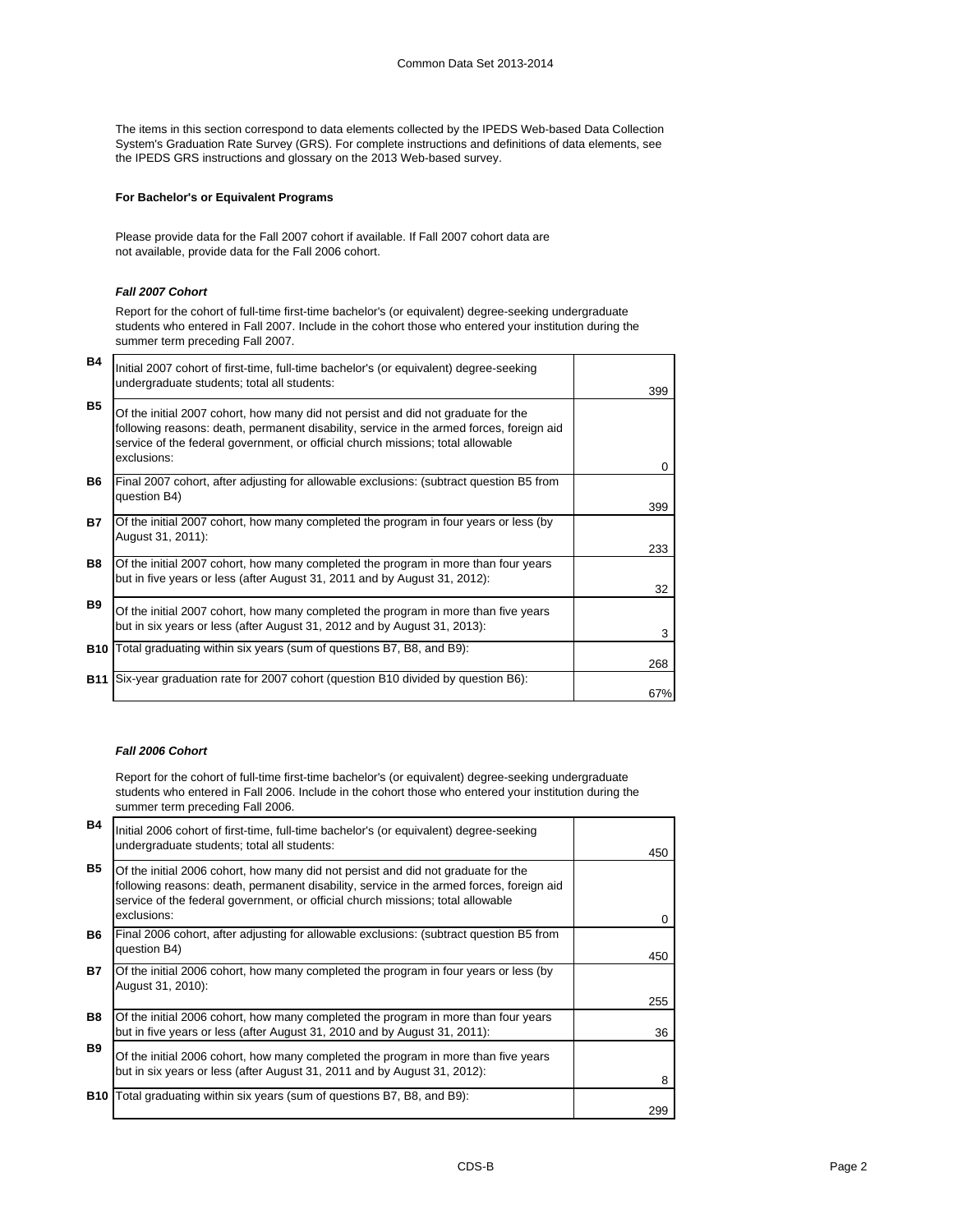The items in this section correspond to data elements collected by the IPEDS Web-based Data Collection System's Graduation Rate Survey (GRS). For complete instructions and definitions of data elements, see the IPEDS GRS instructions and glossary on the 2013 Web-based survey.

# **For Bachelor's or Equivalent Programs**

Please provide data for the Fall 2007 cohort if available. If Fall 2007 cohort data are not available, provide data for the Fall 2006 cohort.

# *Fall 2007 Cohort*

Report for the cohort of full-time first-time bachelor's (or equivalent) degree-seeking undergraduate students who entered in Fall 2007. Include in the cohort those who entered your institution during the summer term preceding Fall 2007.

| <b>B4</b>  | Initial 2007 cohort of first-time, full-time bachelor's (or equivalent) degree-seeking<br>undergraduate students; total all students:                                                                                                                                           |          |
|------------|---------------------------------------------------------------------------------------------------------------------------------------------------------------------------------------------------------------------------------------------------------------------------------|----------|
|            |                                                                                                                                                                                                                                                                                 | 399      |
| <b>B5</b>  | Of the initial 2007 cohort, how many did not persist and did not graduate for the<br>following reasons: death, permanent disability, service in the armed forces, foreign aid<br>service of the federal government, or official church missions; total allowable<br>exclusions: | $\Omega$ |
| <b>B6</b>  | Final 2007 cohort, after adjusting for allowable exclusions: (subtract question B5 from<br>question B4)                                                                                                                                                                         |          |
|            |                                                                                                                                                                                                                                                                                 | 399      |
| B7         | Of the initial 2007 cohort, how many completed the program in four years or less (by<br>August 31, 2011):                                                                                                                                                                       |          |
|            |                                                                                                                                                                                                                                                                                 | 233      |
| <b>B8</b>  | Of the initial 2007 cohort, how many completed the program in more than four years<br>but in five years or less (after August 31, 2011 and by August 31, 2012):                                                                                                                 | 32       |
| <b>B</b> 9 | Of the initial 2007 cohort, how many completed the program in more than five years<br>but in six years or less (after August 31, 2012 and by August 31, 2013):                                                                                                                  | 3        |
|            | <b>B10</b> Total graduating within six years (sum of questions B7, B8, and B9):                                                                                                                                                                                                 |          |
|            |                                                                                                                                                                                                                                                                                 | 268      |
|            | <b>B11</b> Six-year graduation rate for 2007 cohort (question B10 divided by question B6):                                                                                                                                                                                      |          |
|            |                                                                                                                                                                                                                                                                                 | 67%      |

# *Fall 2006 Cohort*

Report for the cohort of full-time first-time bachelor's (or equivalent) degree-seeking undergraduate students who entered in Fall 2006. Include in the cohort those who entered your institution during the summer term preceding Fall 2006.

| <b>B4</b> | Initial 2006 cohort of first-time, full-time bachelor's (or equivalent) degree-seeking<br>undergraduate students; total all students:                                                                                                                                           | 450          |
|-----------|---------------------------------------------------------------------------------------------------------------------------------------------------------------------------------------------------------------------------------------------------------------------------------|--------------|
| <b>B5</b> | Of the initial 2006 cohort, how many did not persist and did not graduate for the<br>following reasons: death, permanent disability, service in the armed forces, foreign aid<br>service of the federal government, or official church missions; total allowable<br>exclusions: | <sup>0</sup> |
| B6.       | Final 2006 cohort, after adjusting for allowable exclusions: (subtract question B5 from<br>question B4)                                                                                                                                                                         | 450          |
| B7        | Of the initial 2006 cohort, how many completed the program in four years or less (by<br>August 31, 2010):                                                                                                                                                                       | 255          |
| <b>B8</b> | Of the initial 2006 cohort, how many completed the program in more than four years<br>but in five years or less (after August 31, 2010 and by August 31, 2011):                                                                                                                 | 36           |
| <b>B9</b> | Of the initial 2006 cohort, how many completed the program in more than five years<br>but in six years or less (after August 31, 2011 and by August 31, 2012):                                                                                                                  | 8            |
|           | <b>B10</b> Total graduating within six years (sum of questions B7, B8, and B9):                                                                                                                                                                                                 | 299          |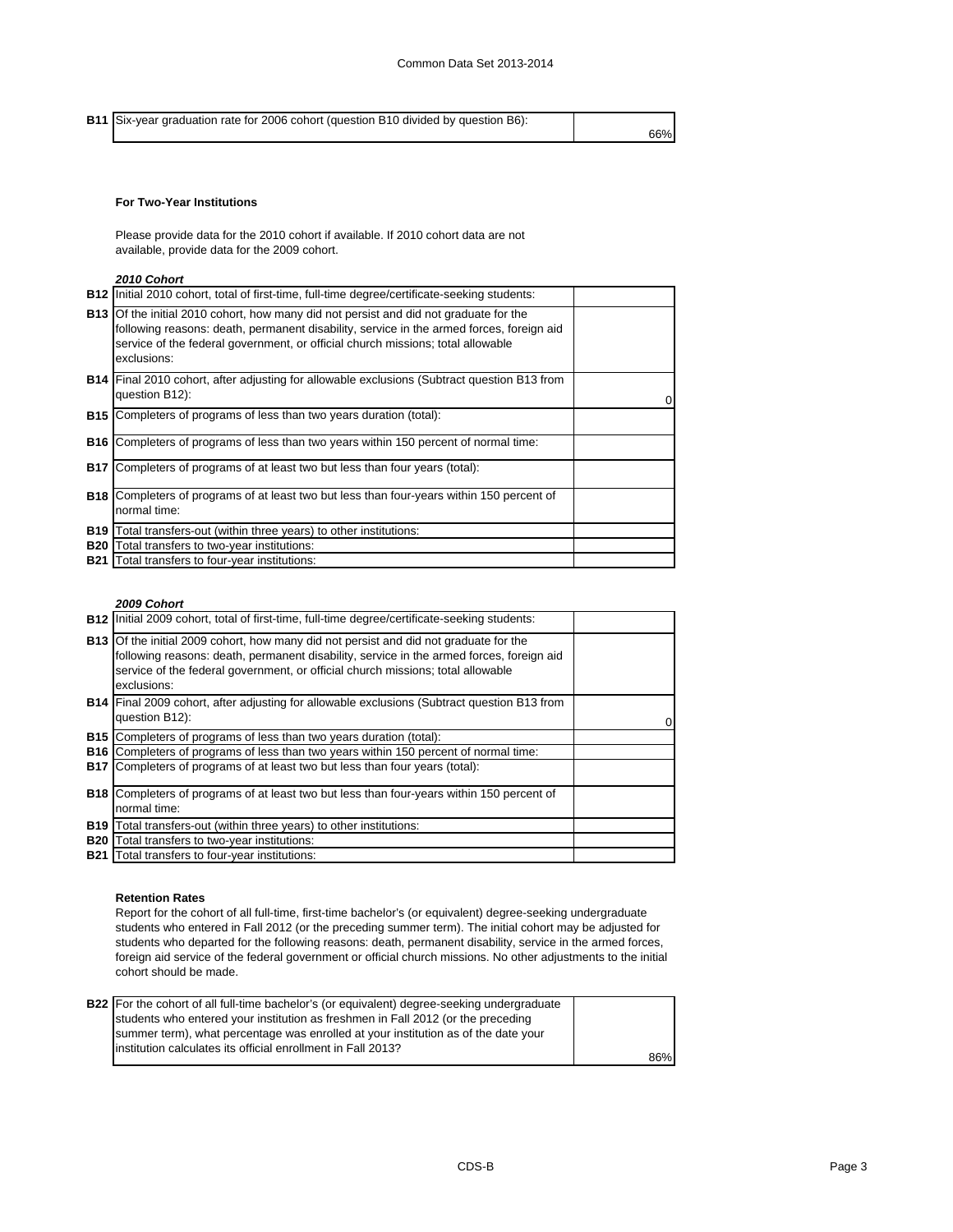**B11** Six-year graduation rate for 2006 cohort (question B10 divided by question B6):

66%

# **For Two-Year Institutions**

Please provide data for the 2010 cohort if available. If 2010 cohort data are not available, provide data for the 2009 cohort.

# *2010 Cohort*

|            | <b>B12</b> Initial 2010 cohort, total of first-time, full-time degree/certificate-seeking students:                                                                                                                                                                                        |  |
|------------|--------------------------------------------------------------------------------------------------------------------------------------------------------------------------------------------------------------------------------------------------------------------------------------------|--|
|            | <b>B13</b> Of the initial 2010 cohort, how many did not persist and did not graduate for the<br>following reasons: death, permanent disability, service in the armed forces, foreign aid<br>service of the federal government, or official church missions; total allowable<br>exclusions: |  |
|            | <b>B14</b> Final 2010 cohort, after adjusting for allowable exclusions (Subtract question B13 from<br>question B12):                                                                                                                                                                       |  |
| <b>B15</b> | Completers of programs of less than two years duration (total):                                                                                                                                                                                                                            |  |
| <b>B16</b> | Completers of programs of less than two years within 150 percent of normal time:                                                                                                                                                                                                           |  |
| <b>B17</b> | Completers of programs of at least two but less than four years (total):                                                                                                                                                                                                                   |  |
|            | <b>B18</b> Completers of programs of at least two but less than four-years within 150 percent of<br>normal time:                                                                                                                                                                           |  |
| <b>B19</b> | Total transfers-out (within three years) to other institutions:                                                                                                                                                                                                                            |  |
| <b>B20</b> | Total transfers to two-year institutions:                                                                                                                                                                                                                                                  |  |
|            | <b>B21</b> Total transfers to four-year institutions:                                                                                                                                                                                                                                      |  |

# *2009 Cohort*

| <b>B12</b> Initial 2009 cohort, total of first-time, full-time degree/certificate-seeking students:                                                                                                                                                                                        |  |
|--------------------------------------------------------------------------------------------------------------------------------------------------------------------------------------------------------------------------------------------------------------------------------------------|--|
| <b>B13</b> Of the initial 2009 cohort, how many did not persist and did not graduate for the<br>following reasons: death, permanent disability, service in the armed forces, foreign aid<br>service of the federal government, or official church missions; total allowable<br>exclusions: |  |
| <b>B14</b> Final 2009 cohort, after adjusting for allowable exclusions (Subtract question B13 from<br>question B12):                                                                                                                                                                       |  |
| <b>B15</b> Completers of programs of less than two years duration (total):                                                                                                                                                                                                                 |  |
| <b>B16</b> Completers of programs of less than two years within 150 percent of normal time:                                                                                                                                                                                                |  |
| <b>B17</b> Completers of programs of at least two but less than four years (total):                                                                                                                                                                                                        |  |
| <b>B18</b> Completers of programs of at least two but less than four-years within 150 percent of                                                                                                                                                                                           |  |
| normal time:                                                                                                                                                                                                                                                                               |  |
| <b>B19</b> Total transfers-out (within three years) to other institutions:                                                                                                                                                                                                                 |  |
| <b>B20</b> Total transfers to two-year institutions:                                                                                                                                                                                                                                       |  |
| <b>B21</b> Total transfers to four-year institutions:                                                                                                                                                                                                                                      |  |

# **Retention Rates**

Report for the cohort of all full-time, first-time bachelor's (or equivalent) degree-seeking undergraduate students who entered in Fall 2012 (or the preceding summer term). The initial cohort may be adjusted for students who departed for the following reasons: death, permanent disability, service in the armed forces, foreign aid service of the federal government or official church missions. No other adjustments to the initial cohort should be made.

| <b>B22</b> For the cohort of all full-time bachelor's (or equivalent) degree-seeking undergraduate |     |
|----------------------------------------------------------------------------------------------------|-----|
| students who entered your institution as freshmen in Fall 2012 (or the preceding                   |     |
| summer term), what percentage was enrolled at your institution as of the date your                 |     |
| linstitution calculates its official enrollment in Fall 2013?                                      |     |
|                                                                                                    | 86% |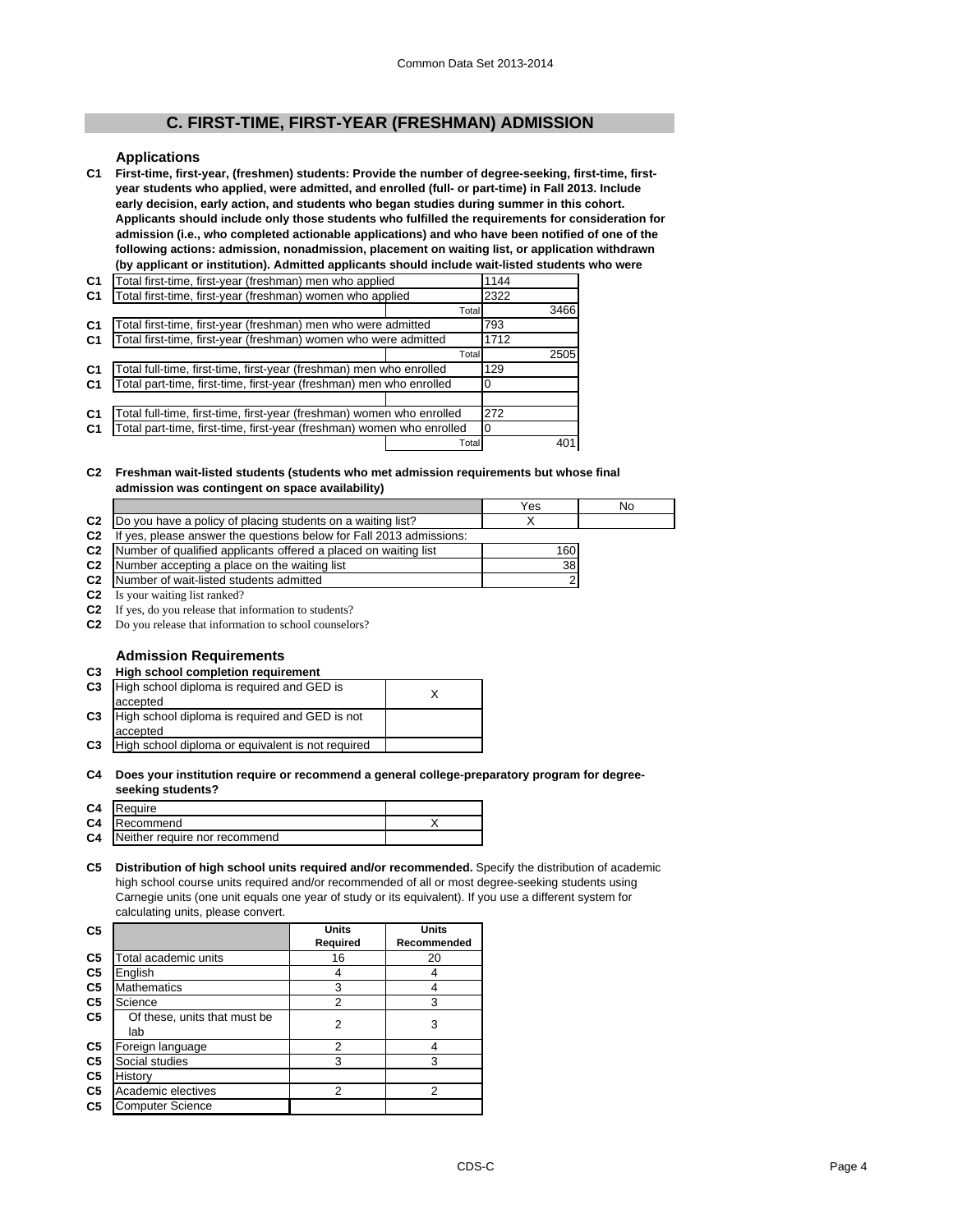# **C. FIRST-TIME, FIRST-YEAR (FRESHMAN) ADMISSION**

### **Applications**

**C1 First-time, first-year, (freshmen) students: Provide the number of degree-seeking, first-time, firstyear students who applied, were admitted, and enrolled (full- or part-time) in Fall 2013. Include early decision, early action, and students who began studies during summer in this cohort. Applicants should include only those students who fulfilled the requirements for consideration for admission (i.e., who completed actionable applications) and who have been notified of one of the following actions: admission, nonadmission, placement on waiting list, or application withdrawn (by applicant or institution). Admitted applicants should include wait-listed students who were** 

| C <sub>1</sub> | Total first-time, first-year (freshman) men who applied               | 1144  |      |      |
|----------------|-----------------------------------------------------------------------|-------|------|------|
| C <sub>1</sub> | Total first-time, first-year (freshman) women who applied             |       | 2322 |      |
|                |                                                                       | Total |      | 3466 |
| C <sub>1</sub> | Total first-time, first-year (freshman) men who were admitted         |       | 793  |      |
| C <sub>1</sub> | Total first-time, first-year (freshman) women who were admitted       |       | 1712 |      |
|                |                                                                       | Total |      | 2505 |
| C <sub>1</sub> | Total full-time, first-time, first-year (freshman) men who enrolled   | 129   |      |      |
| C <sub>1</sub> | Total part-time, first-time, first-year (freshman) men who enrolled   |       |      |      |
|                |                                                                       |       |      |      |
| C <sub>1</sub> | Total full-time, first-time, first-year (freshman) women who enrolled | 272   |      |      |
| C <sub>1</sub> | Total part-time, first-time, first-year (freshman) women who enrolled | 0     |      |      |
|                |                                                                       | Total |      | 401  |

#### **C2 Freshman wait-listed students (students who met admission requirements but whose final admission was contingent on space availability)**

|                |                                                                           | Yes | No |
|----------------|---------------------------------------------------------------------------|-----|----|
|                | C2 Do you have a policy of placing students on a waiting list?            |     |    |
| C <sub>2</sub> | If yes, please answer the questions below for Fall 2013 admissions:       |     |    |
|                | <b>C2</b> Number of qualified applicants offered a placed on waiting list | 160 |    |
|                | <b>C2</b> Number accepting a place on the waiting list                    | 38  |    |
|                | <b>C2</b> Number of wait-listed students admitted                         |     |    |

**C2** Is your waiting list ranked?

**C2** If yes, do you release that information to students?

**C2** Do you release that information to school counselors?

# **Admission Requirements**

**C3 High school completion requirement**

| C <sub>3</sub> | High school diploma is required and GED is        |  |
|----------------|---------------------------------------------------|--|
|                | accepted                                          |  |
| C <sub>3</sub> | High school diploma is required and GED is not    |  |
|                | accepted                                          |  |
| C <sub>3</sub> | High school diploma or equivalent is not required |  |
|                |                                                   |  |

#### **C4 Does your institution require or recommend a general college-preparatory program for degreeseeking students?**

# **C5 Distribution of high school units required and/or recommended.** Specify the distribution of academic high school course units required and/or recommended of all or most degree-seeking students using Carnegie units (one unit equals one year of study or its equivalent). If you use a different system for calculating units, please convert.

| C <sub>5</sub> |                                     | <b>Units</b> | <b>Units</b> |
|----------------|-------------------------------------|--------------|--------------|
|                |                                     | Required     | Recommended  |
| C <sub>5</sub> | Total academic units                | 16           | 20           |
| C <sub>5</sub> | English                             | 4            |              |
| C <sub>5</sub> | <b>Mathematics</b>                  | 3            |              |
| C <sub>5</sub> | Science                             | 2            | 3            |
| C <sub>5</sub> | Of these, units that must be<br>lab | 2            | 3            |
| C <sub>5</sub> | Foreign language                    | 2            |              |
| C <sub>5</sub> | Social studies                      | 3            | 3            |
| C <sub>5</sub> | History                             |              |              |
| C <sub>5</sub> | Academic electives                  | 2            | 2            |
| C <sub>5</sub> | <b>Computer Science</b>             |              |              |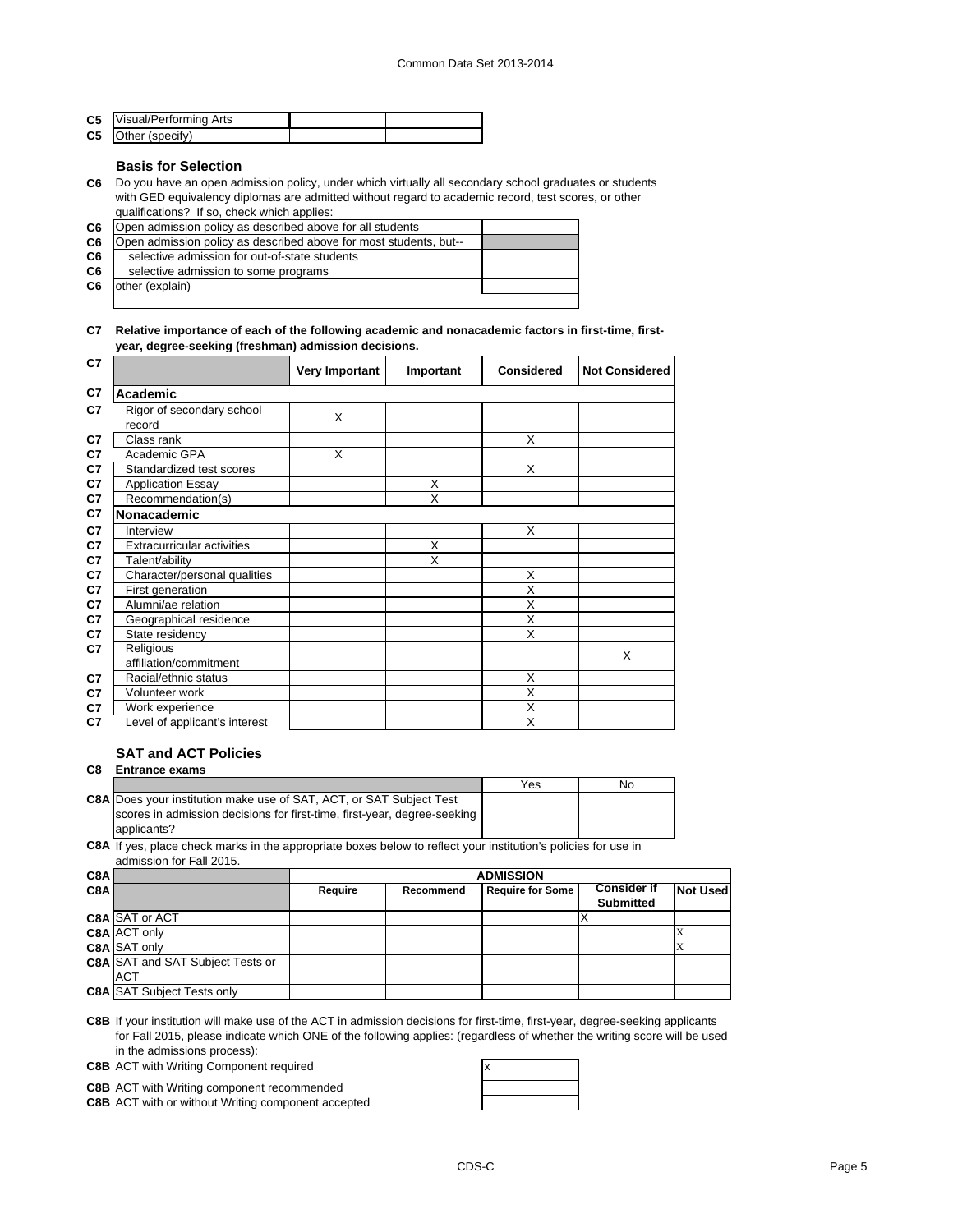| <b>C5</b> Visual/Performing Arts |  |
|----------------------------------|--|
| <b>C5</b> Other (specify)        |  |

# **Basis for Selection**

**C6** Do you have an open admission policy, under which virtually all secondary school graduates or students with GED equivalency diplomas are admitted without regard to academic record, test scores, or other qualifications? If so, check which applies:

| C <sub>6</sub> | Open admission policy as described above for all students         |  |
|----------------|-------------------------------------------------------------------|--|
| C6             | Open admission policy as described above for most students, but-- |  |
| C <sub>6</sub> | selective admission for out-of-state students                     |  |
| C6             | selective admission to some programs                              |  |
| C6             | other (explain)                                                   |  |
|                |                                                                   |  |

# **C7 Relative importance of each of the following academic and nonacademic factors in first-time, firstyear, degree-seeking (freshman) admission decisions.**

| C7 |                                     | Very Important | Important | <b>Considered</b> | <b>Not Considered</b> |
|----|-------------------------------------|----------------|-----------|-------------------|-----------------------|
| C7 | Academic                            |                |           |                   |                       |
| C7 | Rigor of secondary school<br>record | X              |           |                   |                       |
| C7 | Class rank                          |                |           | X                 |                       |
| C7 | Academic GPA                        | X              |           |                   |                       |
| C7 | Standardized test scores            |                |           | X                 |                       |
| C7 | <b>Application Essay</b>            |                | X         |                   |                       |
| C7 | Recommendation(s)                   |                | X         |                   |                       |
| C7 | <b>Nonacademic</b>                  |                |           |                   |                       |
| C7 | Interview                           |                |           | X                 |                       |
| C7 | <b>Extracurricular activities</b>   |                | X         |                   |                       |
| C7 | Talent/ability                      |                | X         |                   |                       |
| C7 | Character/personal qualities        |                |           | X                 |                       |
| C7 | First generation                    |                |           | X                 |                       |
| C7 | Alumni/ae relation                  |                |           | X                 |                       |
| C7 | Geographical residence              |                |           | X                 |                       |
| C7 | State residency                     |                |           | X                 |                       |
| C7 | Religious                           |                |           |                   | X                     |
|    | affiliation/commitment              |                |           |                   |                       |
| C7 | Racial/ethnic status                |                |           | X                 |                       |
| C7 | Volunteer work                      |                |           | X                 |                       |
| C7 | Work experience                     |                |           | X                 |                       |
| C7 | Level of applicant's interest       |                |           | X                 |                       |

# **SAT and ACT Policies C8 Entrance exams**

|                                                                            | Yes | No |
|----------------------------------------------------------------------------|-----|----|
| <b>C8A Does your institution make use of SAT, ACT, or SAT Subject Test</b> |     |    |
| scores in admission decisions for first-time, first-year, degree-seeking   |     |    |
| applicants?                                                                |     |    |

**C8A** If yes, place check marks in the appropriate boxes below to reflect your institution's policies for use in admission for Fall 2015.

| C8A |                                         | <b>ADMISSION</b> |           |                         |                    |                 |
|-----|-----------------------------------------|------------------|-----------|-------------------------|--------------------|-----------------|
| C8A |                                         | Require          | Recommend | <b>Require for Some</b> | <b>Consider if</b> | <b>Not Used</b> |
|     |                                         |                  |           |                         | <b>Submitted</b>   |                 |
|     | <b>C8A SAT or ACT</b>                   |                  |           |                         |                    |                 |
|     | C8A ACT only                            |                  |           |                         |                    |                 |
|     | C8A SAT only                            |                  |           |                         |                    |                 |
|     | <b>C8A SAT and SAT Subject Tests or</b> |                  |           |                         |                    |                 |
|     | <b>ACT</b>                              |                  |           |                         |                    |                 |
|     | <b>C8A SAT Subject Tests only</b>       |                  |           |                         |                    |                 |

**C8B** If your institution will make use of the ACT in admission decisions for first-time, first-year, degree-seeking applicants for Fall 2015, please indicate which ONE of the following applies: (regardless of whether the writing score will be used in the admissions process):

**C8B** ACT with Writing Component required **ACT** with Writing Component required

**C8B** ACT with Writing component recommended

**C8B** ACT with or without Writing component accepted

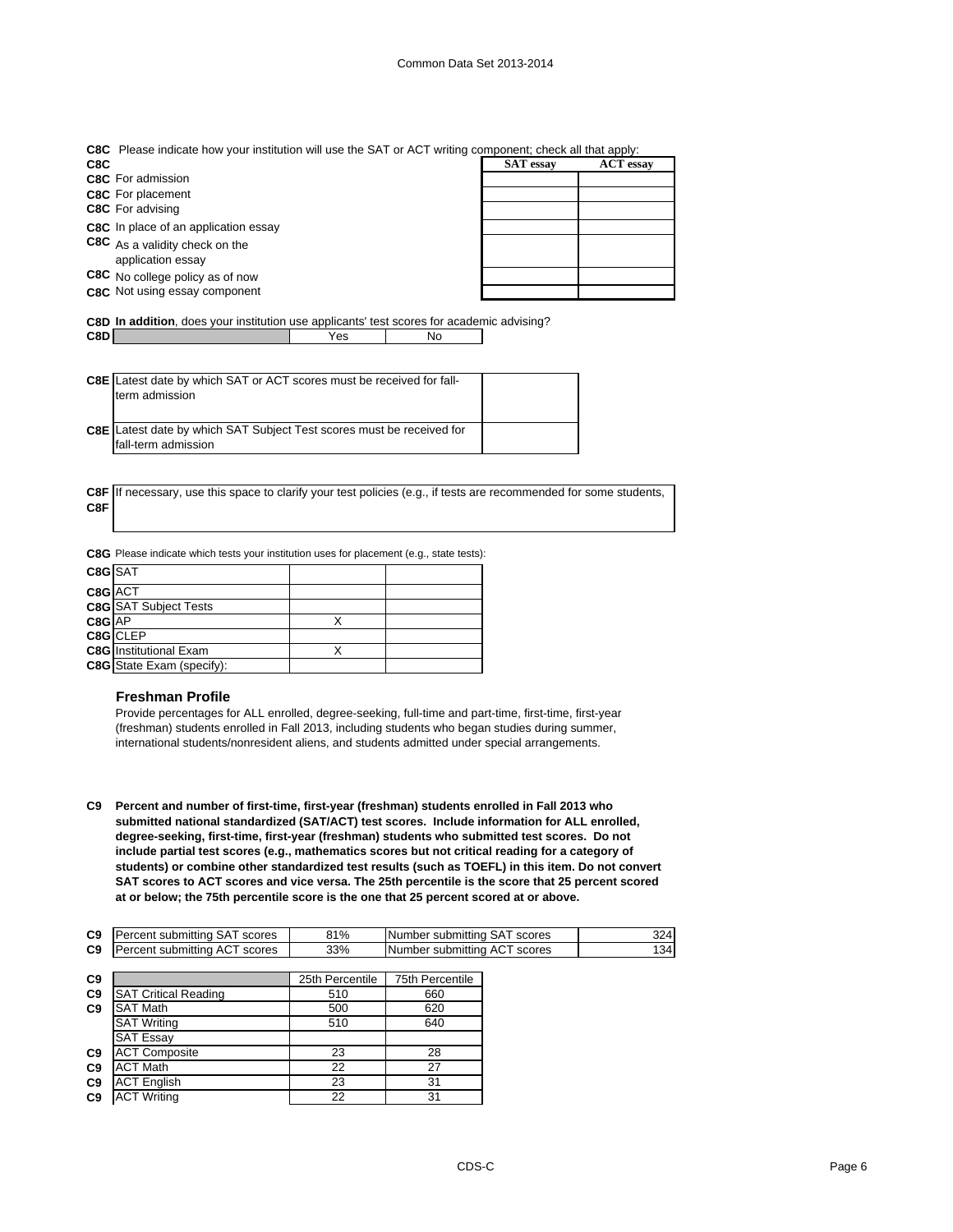| C8C Please indicate how your institution will use the SAT or ACT writing component; check all that apply: |  |  |
|-----------------------------------------------------------------------------------------------------------|--|--|
|                                                                                                           |  |  |

| C8C                                                 | <b>SAT</b> essay | <b>ACT</b> essay |
|-----------------------------------------------------|------------------|------------------|
| <b>C8C</b> For admission                            |                  |                  |
| <b>C8C</b> For placement                            |                  |                  |
| <b>C8C</b> For advising                             |                  |                  |
| C8C In place of an application essay                |                  |                  |
| C8C As a validity check on the<br>application essay |                  |                  |
| C8C No college policy as of now                     |                  |                  |
| C8C Not using essay component                       |                  |                  |

**C8D In addition**, does your institution use applicants' test scores for academic advising? **C8D** Yes No

| <b>C8E</b> Latest date by which SAT or ACT scores must be received for fall- |  |
|------------------------------------------------------------------------------|--|
| term admission                                                               |  |

**C8E** Latest date by which SAT Subject Test scores must be received for fall-term admission

**C8F** If necessary, use this space to clarify your test policies (e.g., if tests are recommended for some students, **C8F**

**C8G** Please indicate which tests your institution uses for placement (e.g., state tests):

| C8G SAT |                                  |  |
|---------|----------------------------------|--|
| C8G ACT |                                  |  |
|         | <b>C8G</b> SAT Subject Tests     |  |
| C8G AP  |                                  |  |
|         | C8G CLEP                         |  |
|         | <b>C8G</b> Institutional Exam    |  |
|         | <b>C8G</b> State Exam (specify): |  |

# **Freshman Profile**

Provide percentages for ALL enrolled, degree-seeking, full-time and part-time, first-time, first-year (freshman) students enrolled in Fall 2013, including students who began studies during summer, international students/nonresident aliens, and students admitted under special arrangements.

**C9 Percent and number of first-time, first-year (freshman) students enrolled in Fall 2013 who submitted national standardized (SAT/ACT) test scores. Include information for ALL enrolled, degree-seeking, first-time, first-year (freshman) students who submitted test scores. Do not include partial test scores (e.g., mathematics scores but not critical reading for a category of students) or combine other standardized test results (such as TOEFL) in this item. Do not convert SAT scores to ACT scores and vice versa. The 25th percentile is the score that 25 percent scored at or below; the 75th percentile score is the one that 25 percent scored at or above.**

| C <sub>9</sub> | IPercent submitting SAT scores_     | 31% | Number submitting SAT<br>scores | 324 l |
|----------------|-------------------------------------|-----|---------------------------------|-------|
| C <sub>9</sub> | lPercent submitting ACT<br>i scores | 33% | Number submitting ACT scores    | 34    |

| C <sub>9</sub> |                             | 25th Percentile | 75th Percentile |
|----------------|-----------------------------|-----------------|-----------------|
| C <sub>9</sub> | <b>SAT Critical Reading</b> | 510             | 660             |
| C <sub>9</sub> | <b>SAT Math</b>             | 500             | 620             |
|                | <b>SAT Writing</b>          | 510             | 640             |
|                | <b>SAT Essay</b>            |                 |                 |
| C <sub>9</sub> | <b>ACT Composite</b>        | 23              | 28              |
| C9             | <b>ACT Math</b>             | 22              | 27              |
| C <sub>9</sub> | <b>ACT English</b>          | 23              | 31              |
| C <sub>9</sub> | <b>ACT Writing</b>          | 22              | 31              |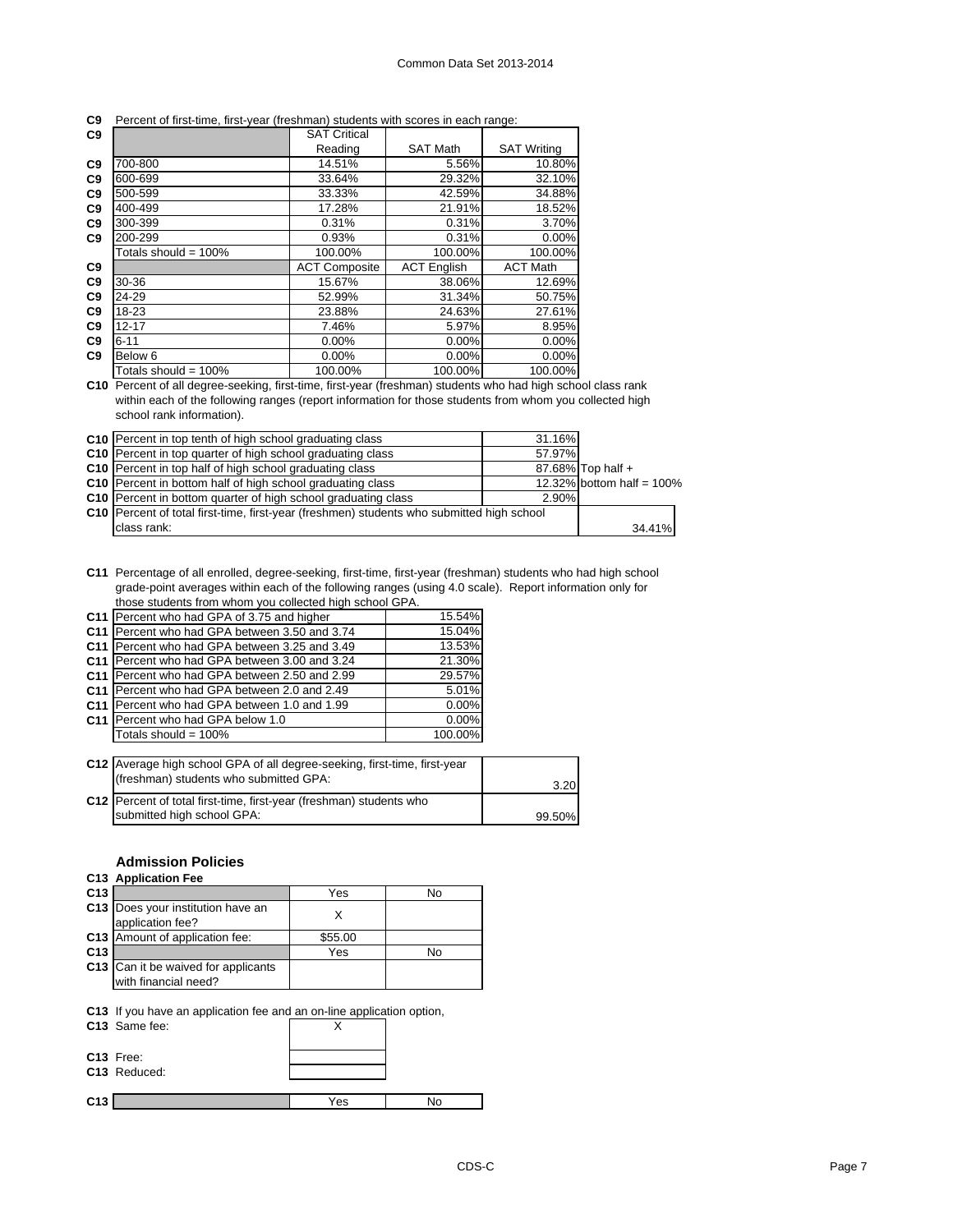#### **C9** Percent of first-time, first-year (freshman) students with scores in each range:

| C9             |                         | <b>SAT Critical</b>  |                    |                    |
|----------------|-------------------------|----------------------|--------------------|--------------------|
|                |                         | Reading              | <b>SAT Math</b>    | <b>SAT Writing</b> |
| C <sub>9</sub> | 700-800                 | 14.51%               | 5.56%              | 10.80%             |
| C <sub>9</sub> | 600-699                 | 33.64%               | 29.32%             | 32.10%             |
| C <sub>9</sub> | 500-599                 | 33.33%               | 42.59%             | 34.88%             |
| C <sub>9</sub> | 400-499                 | 17.28%               | 21.91%             | 18.52%             |
| C <sub>9</sub> | 300-399                 | 0.31%                | 0.31%              | 3.70%              |
| C <sub>9</sub> | 200-299                 | 0.93%                | 0.31%              | 0.00%              |
|                | Totals should = $100\%$ | 100.00%              | 100.00%            | 100.00%            |
| C <sub>9</sub> |                         | <b>ACT Composite</b> | <b>ACT English</b> | <b>ACT Math</b>    |
| C <sub>9</sub> | 30-36                   | 15.67%               | 38.06%             | 12.69%             |
| C <sub>9</sub> | 24-29                   | 52.99%               | 31.34%             | 50.75%             |
| C <sub>9</sub> | 18-23                   | 23.88%               | 24.63%             | 27.61%             |
| C <sub>9</sub> | $12 - 17$               | 7.46%                | 5.97%              | 8.95%              |
| C <sub>9</sub> | $6 - 11$                | $0.00\%$             | 0.00%              | 0.00%              |
| C <sub>9</sub> | Below <sub>6</sub>      | $0.00\%$             | $0.00\%$           | 0.00%              |
|                | Totals should = $100\%$ | 100.00%              | 100.00%            | 100.00%            |

**C10** Percent of all degree-seeking, first-time, first-year (freshman) students who had high school class rank within each of the following ranges (report information for those students from whom you collected high school rank information).

| <b>C10</b> Percent in top tenth of high school graduating class                             | 31.16% |                           |
|---------------------------------------------------------------------------------------------|--------|---------------------------|
| C <sub>10</sub> Percent in top quarter of high school graduating class                      | 57.97% |                           |
| <b>C10</b> Percent in top half of high school graduating class                              |        | 87.68% Top half +         |
| C10 Percent in bottom half of high school graduating class                                  |        | 12.32% bottom half = 100% |
| C10 Percent in bottom quarter of high school graduating class                               | 2.90%  |                           |
| C10   Percent of total first-time, first-year (freshmen) students who submitted high school |        |                           |
| class rank:                                                                                 |        | 34.41%                    |

**C11** Percentage of all enrolled, degree-seeking, first-time, first-year (freshman) students who had high school grade-point averages within each of the following ranges (using 4.0 scale). Report information only for those students from whom you collected high school GPA.

| C11 Percent who had GPA of 3.75 and higher    | 15.54%   |
|-----------------------------------------------|----------|
| C11 Percent who had GPA between 3.50 and 3.74 | 15.04%   |
| C11 Percent who had GPA between 3.25 and 3.49 | 13.53%   |
| C11 Percent who had GPA between 3.00 and 3.24 | 21.30%   |
| C11 Percent who had GPA between 2.50 and 2.99 | 29.57%   |
| C11 Percent who had GPA between 2.0 and 2.49  | 5.01%    |
| C11 Percent who had GPA between 1.0 and 1.99  | $0.00\%$ |
| C11 Percent who had GPA below 1.0             | $0.00\%$ |
| Totals should = 100%                          | 100.00%  |
|                                               |          |

| C12 Average high school GPA of all degree-seeking, first-time, first-year<br>(freshman) students who submitted GPA: | 3.20   |
|---------------------------------------------------------------------------------------------------------------------|--------|
| C12 Percent of total first-time, first-year (freshman) students who                                                 |        |
| submitted high school GPA:                                                                                          | 99.50% |

# **Admission Policies**

# **C13 Application Fee**

| C <sub>13</sub> |                                                             | Yes     | No |
|-----------------|-------------------------------------------------------------|---------|----|
|                 | C13 Does your institution have an<br>application fee?       |         |    |
|                 | C13 Amount of application fee:                              | \$55.00 |    |
| C <sub>13</sub> |                                                             | Yes     | No |
|                 | C13 Can it be waived for applicants<br>with financial need? |         |    |
|                 |                                                             |         |    |

**C13** If you have an application fee and an on-line application option,

| C13 Same fee:             |     |    |
|---------------------------|-----|----|
| C13 Free:<br>C13 Reduced: |     |    |
| C <sub>13</sub>           | Yes | No |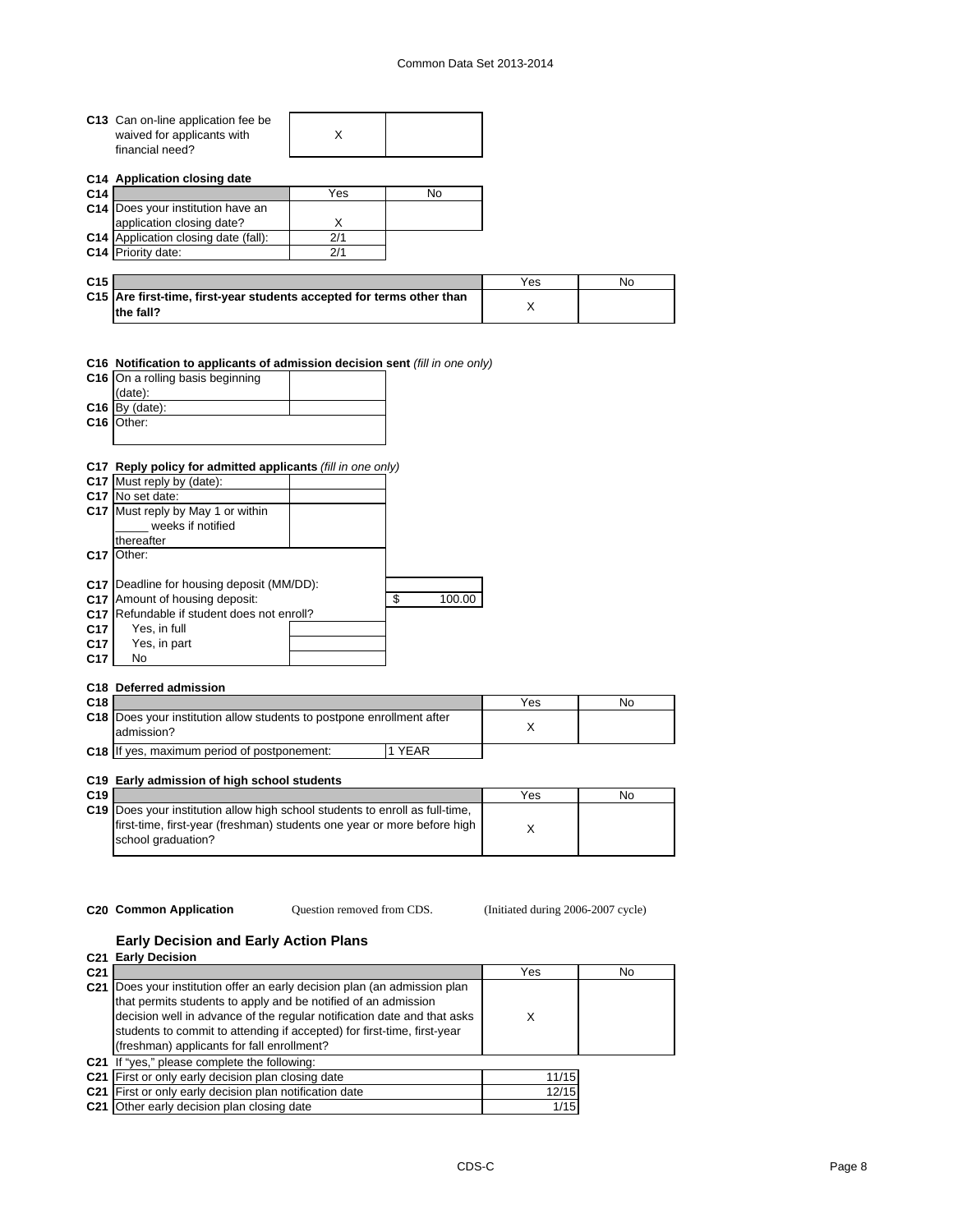| C13 Can on-line application fee be |  |
|------------------------------------|--|
| waived for applicants with         |  |
| financial need?                    |  |

**C14 Application closing date**

| C <sub>14</sub> |                                             | Yes | No |
|-----------------|---------------------------------------------|-----|----|
|                 | C14 Does your institution have an           |     |    |
|                 | application closing date?                   |     |    |
|                 | <b>C14</b> Application closing date (fall): | 2/1 |    |
|                 | C14 Priority date:                          |     |    |

| C <sub>15</sub> |                                                                                    | Yes | No |
|-----------------|------------------------------------------------------------------------------------|-----|----|
|                 | C15 Are first-time, first-year students accepted for terms other than<br>the fall? |     |    |

# **C16 Notification to applicants of admission decision sent** *(fill in one only)*

| C16 On a rolling basis beginning |  |
|----------------------------------|--|
| (data):                          |  |
| $C16$ By (date):                 |  |
| C16 Other:                       |  |
|                                  |  |

# **C17 Reply policy for admitted applicants** *(fill in one only)*

|                 | C17 Must reply by (date):              |              |
|-----------------|----------------------------------------|--------------|
|                 | C <sub>17</sub> No set date:           |              |
|                 | C17 Must reply by May 1 or within      |              |
|                 | weeks if notified                      |              |
|                 | thereafter                             |              |
| C <sub>17</sub> | Other:                                 |              |
|                 |                                        |              |
| C17             | Deadline for housing deposit (MM/DD):  |              |
| C <sub>17</sub> | Amount of housing deposit:             | \$<br>100.00 |
| C <sub>17</sub> | Refundable if student does not enroll? |              |
| C <sub>17</sub> | Yes, in full                           |              |
| C <sub>17</sub> | Yes, in part                           |              |
| C <sub>17</sub> | No                                     |              |

# **C18 Deferred admission**

| C18 |                                                                                            |             | Yes | Nο |
|-----|--------------------------------------------------------------------------------------------|-------------|-----|----|
|     | <b>C18</b> Does your institution allow students to postpone enrollment after<br>admission? |             |     |    |
|     | C18 If yes, maximum period of postponement:                                                | <b>YEAR</b> |     |    |

# **C19 Early admission of high school students**

| C <sub>19</sub> |                                                                                                                                                                                 | Yes | No |
|-----------------|---------------------------------------------------------------------------------------------------------------------------------------------------------------------------------|-----|----|
|                 | C19   Does your institution allow high school students to enroll as full-time.<br>first-time, first-year (freshman) students one year or more before high<br>school graduation? |     |    |

Question removed from CDS.

**C20 Common Application** (Initiated during 2006-2007 cycle)

# **Early Decision and Early Action Plans**

**C21 Early Decision**

| C <sub>21</sub> |                                                                                                                                                                                                                                                                                                                                             | Yes   | No |
|-----------------|---------------------------------------------------------------------------------------------------------------------------------------------------------------------------------------------------------------------------------------------------------------------------------------------------------------------------------------------|-------|----|
| C <sub>21</sub> | Does your institution offer an early decision plan (an admission plan<br>that permits students to apply and be notified of an admission<br>decision well in advance of the regular notification date and that asks<br>students to commit to attending if accepted) for first-time, first-year<br>(freshman) applicants for fall enrollment? | X     |    |
|                 | C21 If "yes," please complete the following:                                                                                                                                                                                                                                                                                                |       |    |
|                 | C21 First or only early decision plan closing date                                                                                                                                                                                                                                                                                          | 11/15 |    |
|                 | C21 First or only early decision plan notification date                                                                                                                                                                                                                                                                                     | 12/15 |    |
|                 | <b>C21</b> Other early decision plan closing date                                                                                                                                                                                                                                                                                           | 1/15  |    |
|                 |                                                                                                                                                                                                                                                                                                                                             |       |    |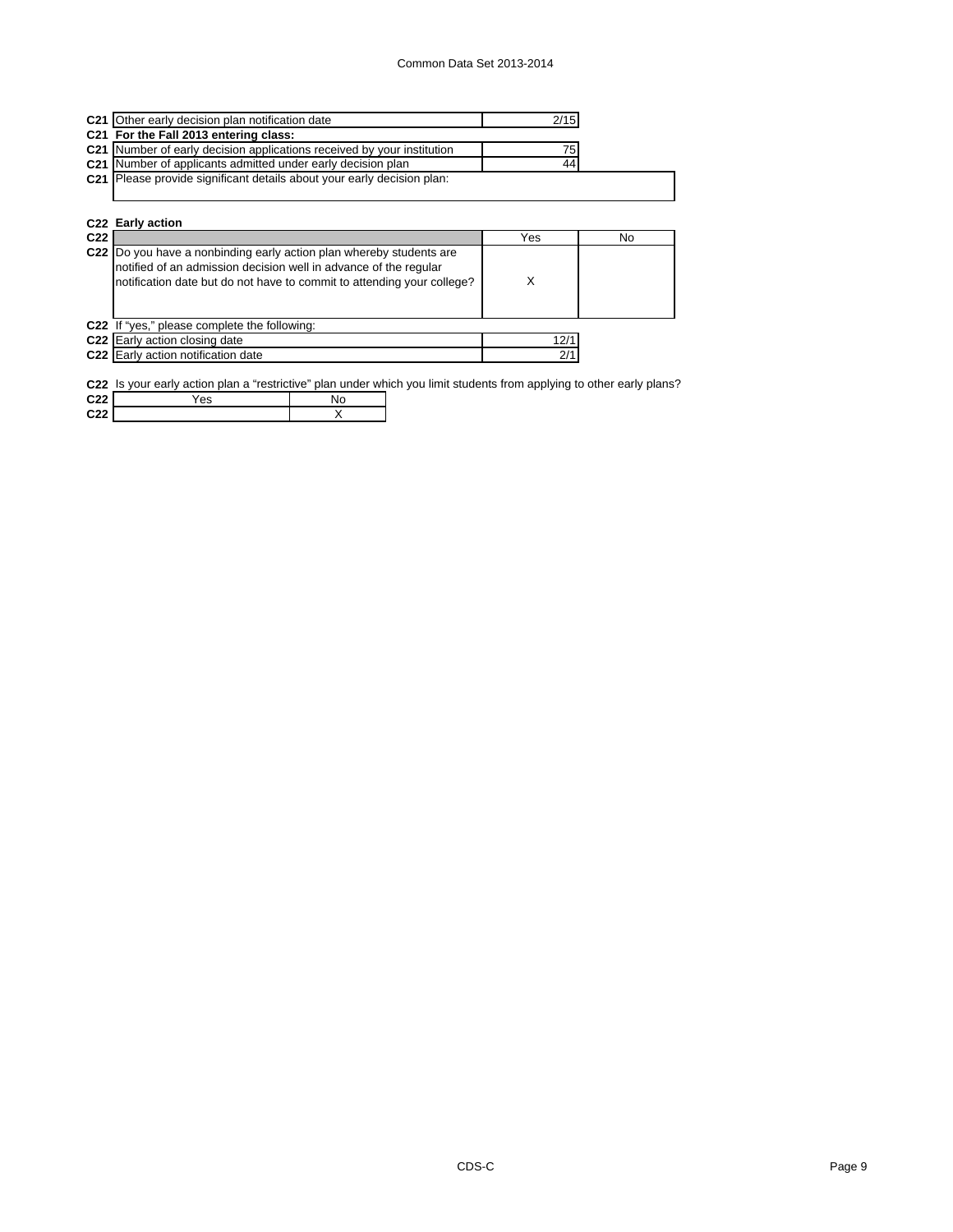| C21 Other early decision plan notification date                               | 2/15 |  |
|-------------------------------------------------------------------------------|------|--|
| C21 For the Fall 2013 entering class:                                         |      |  |
| C21 Number of early decision applications received by your institution        | 751  |  |
| C21 Number of applicants admitted under early decision plan                   | 44   |  |
| <b>C21</b> Please provide significant details about your early decision plan: |      |  |
|                                                                               |      |  |

|                 | C22 Early action                                                                                                                                                                                                  |      |  |  |  |  |  |  |
|-----------------|-------------------------------------------------------------------------------------------------------------------------------------------------------------------------------------------------------------------|------|--|--|--|--|--|--|
| C <sub>22</sub> | Yes<br>No                                                                                                                                                                                                         |      |  |  |  |  |  |  |
|                 | C22 Do you have a nonbinding early action plan whereby students are<br>notified of an admission decision well in advance of the regular<br>notification date but do not have to commit to attending your college? | Χ    |  |  |  |  |  |  |
|                 | C22 If "yes," please complete the following:                                                                                                                                                                      |      |  |  |  |  |  |  |
|                 | C22 Early action closing date                                                                                                                                                                                     | 12/1 |  |  |  |  |  |  |
|                 | C22 Early action notification date                                                                                                                                                                                | 2/1  |  |  |  |  |  |  |

**C22** Is your early action plan a "restrictive" plan under which you limit students from applying to other early plans?

| C <sub>22</sub> | ′es | No |  |
|-----------------|-----|----|--|
| C <sub>22</sub> |     |    |  |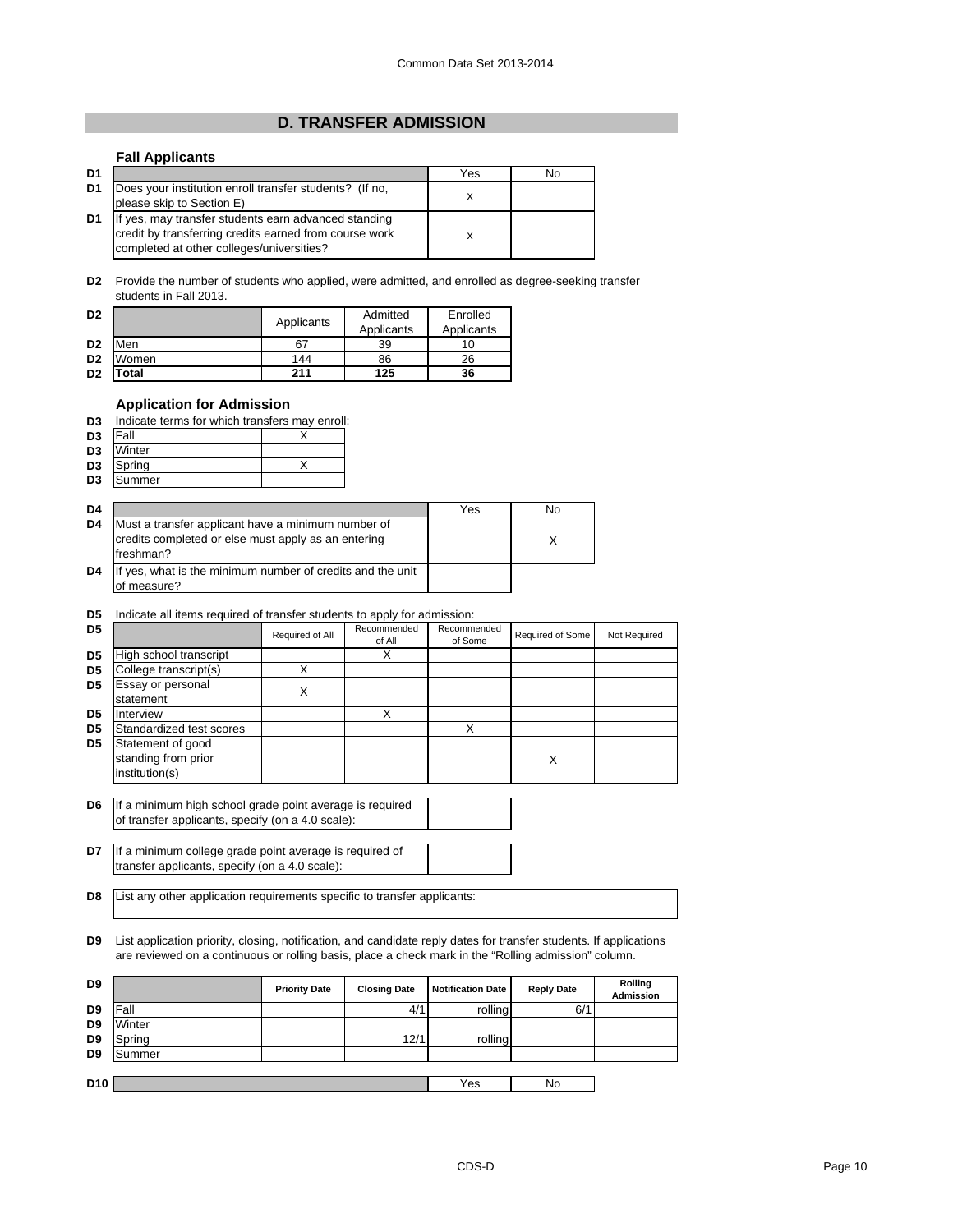# **D. TRANSFER ADMISSION**

# **Fall Applicants**

| D <sub>1</sub> |                                                                                                                                                             | Yes | No |
|----------------|-------------------------------------------------------------------------------------------------------------------------------------------------------------|-----|----|
| D <sub>1</sub> | Does your institution enroll transfer students? (If no,<br>please skip to Section E)                                                                        | x   |    |
| D <sub>1</sub> | If yes, may transfer students earn advanced standing<br>credit by transferring credits earned from course work<br>completed at other colleges/universities? |     |    |

**D2** Provide the number of students who applied, were admitted, and enrolled as degree-seeking transfer students in Fall 2013.

| D <sub>2</sub> |       | Applicants | Admitted<br>Applicants | Enrolled<br>Applicants |
|----------------|-------|------------|------------------------|------------------------|
| D <sub>2</sub> | Men   | 67         | 39                     | 10                     |
| D <sub>2</sub> | Women | 144        | 86                     | 26                     |
| D <sub>2</sub> | Total | 211        | 125                    | 36                     |

# **Application for Admission**

|  |  | D3 Indicate terms for which transfers may enroll: |  |
|--|--|---------------------------------------------------|--|
|  |  |                                                   |  |

| D <sub>3</sub> | Fall   |  |
|----------------|--------|--|
| D <sub>3</sub> | Winter |  |
| D <sub>3</sub> | Spring |  |

| --             | ------- | . . |
|----------------|---------|-----|
| D <sub>3</sub> | nmer    |     |
|                |         |     |

| D <sub>4</sub> |                                                                                                                        | Yes | No |
|----------------|------------------------------------------------------------------------------------------------------------------------|-----|----|
| D <sub>4</sub> | Must a transfer applicant have a minimum number of<br>credits completed or else must apply as an entering<br>freshman? |     |    |
| D <sub>4</sub> | If yes, what is the minimum number of credits and the unit<br>of measure?                                              |     |    |

# **D5** Indicate all items required of transfer students to apply for admission:

| D5             |                                                            | Required of All | Recommended<br>of All | Recommended<br>of Some | Required of Some | Not Required |
|----------------|------------------------------------------------------------|-----------------|-----------------------|------------------------|------------------|--------------|
| D <sub>5</sub> | High school transcript                                     |                 | х                     |                        |                  |              |
| D <sub>5</sub> | College transcript(s)                                      | X               |                       |                        |                  |              |
| D <sub>5</sub> | <b>Essay or personal</b><br>statement                      | X               |                       |                        |                  |              |
| D <sub>5</sub> | Interview                                                  |                 | X                     |                        |                  |              |
| D <sub>5</sub> | Standardized test scores                                   |                 |                       |                        |                  |              |
| D <sub>5</sub> | Statement of good<br>standing from prior<br>institution(s) |                 |                       |                        | X                |              |

**D6** If a minimum high school grade point average is required of transfer applicants, specify (on a 4.0 scale):

**D7** If a minimum college grade point average is required of transfer applicants, specify (on a 4.0 scale):

**D8** List any other application requirements specific to transfer applicants:

**D9** List application priority, closing, notification, and candidate reply dates for transfer students. If applications are reviewed on a continuous or rolling basis, place a check mark in the "Rolling admission" column.

| D <sub>9</sub>  |        | <b>Priority Date</b> | <b>Closing Date</b> | <b>Notification Date</b> | <b>Reply Date</b> | Rolling<br><b>Admission</b> |
|-----------------|--------|----------------------|---------------------|--------------------------|-------------------|-----------------------------|
| D <sub>9</sub>  | Fall   |                      | 4/1                 | rolling                  | 6/1               |                             |
| D <sub>9</sub>  | Winter |                      |                     |                          |                   |                             |
| D <sub>9</sub>  | Spring |                      | 12/1                | rollina                  |                   |                             |
| D <sub>9</sub>  | Summer |                      |                     |                          |                   |                             |
|                 |        |                      |                     |                          |                   |                             |
| D <sub>10</sub> |        |                      |                     | Yes                      | No                |                             |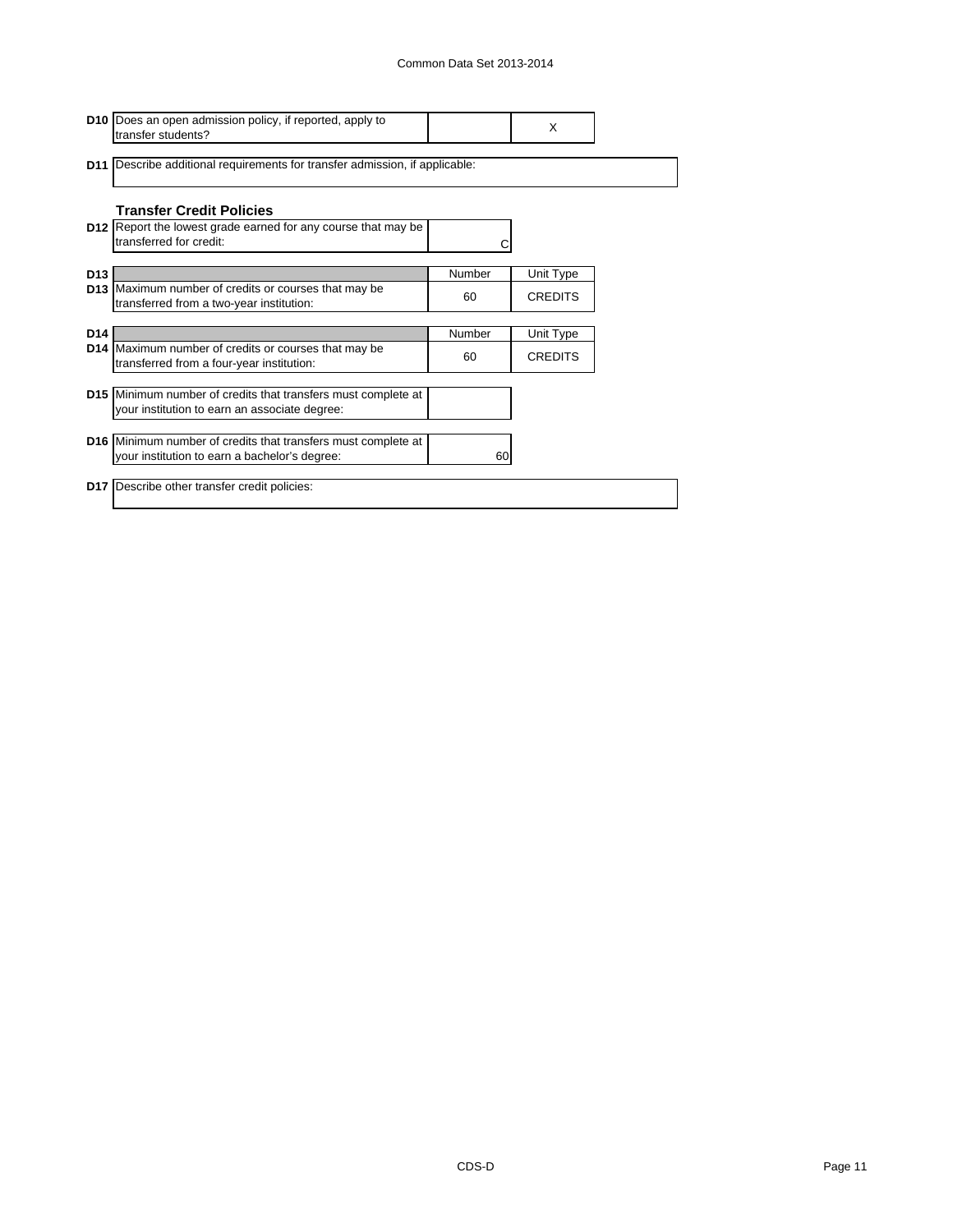|                 | <b>D10</b> Does an open admission policy, if reported, apply to<br>transfer students?             |        | X              |  |
|-----------------|---------------------------------------------------------------------------------------------------|--------|----------------|--|
|                 | <b>D11</b> Describe additional requirements for transfer admission, if applicable:                |        |                |  |
|                 | <b>Transfer Credit Policies</b>                                                                   |        |                |  |
|                 | <b>D12</b> Report the lowest grade earned for any course that may be<br>transferred for credit:   |        |                |  |
| D <sub>13</sub> |                                                                                                   | Number | Unit Type      |  |
|                 | D13 Maximum number of credits or courses that may be<br>transferred from a two-year institution:  | 60     | <b>CREDITS</b> |  |
|                 |                                                                                                   |        |                |  |
| D <sub>14</sub> |                                                                                                   | Number | Unit Type      |  |
|                 | D14 Maximum number of credits or courses that may be<br>transferred from a four-year institution: | 60     | <b>CREDITS</b> |  |
|                 |                                                                                                   |        |                |  |
|                 | D15 Minimum number of credits that transfers must complete at                                     |        |                |  |
|                 | your institution to earn an associate degree:                                                     |        |                |  |
|                 | <b>D16</b> Minimum number of credits that transfers must complete at                              |        |                |  |
|                 | your institution to earn a bachelor's degree:                                                     | 60     |                |  |
|                 |                                                                                                   |        |                |  |
|                 | <b>D17</b> Describe other transfer credit policies:                                               |        |                |  |
|                 |                                                                                                   |        |                |  |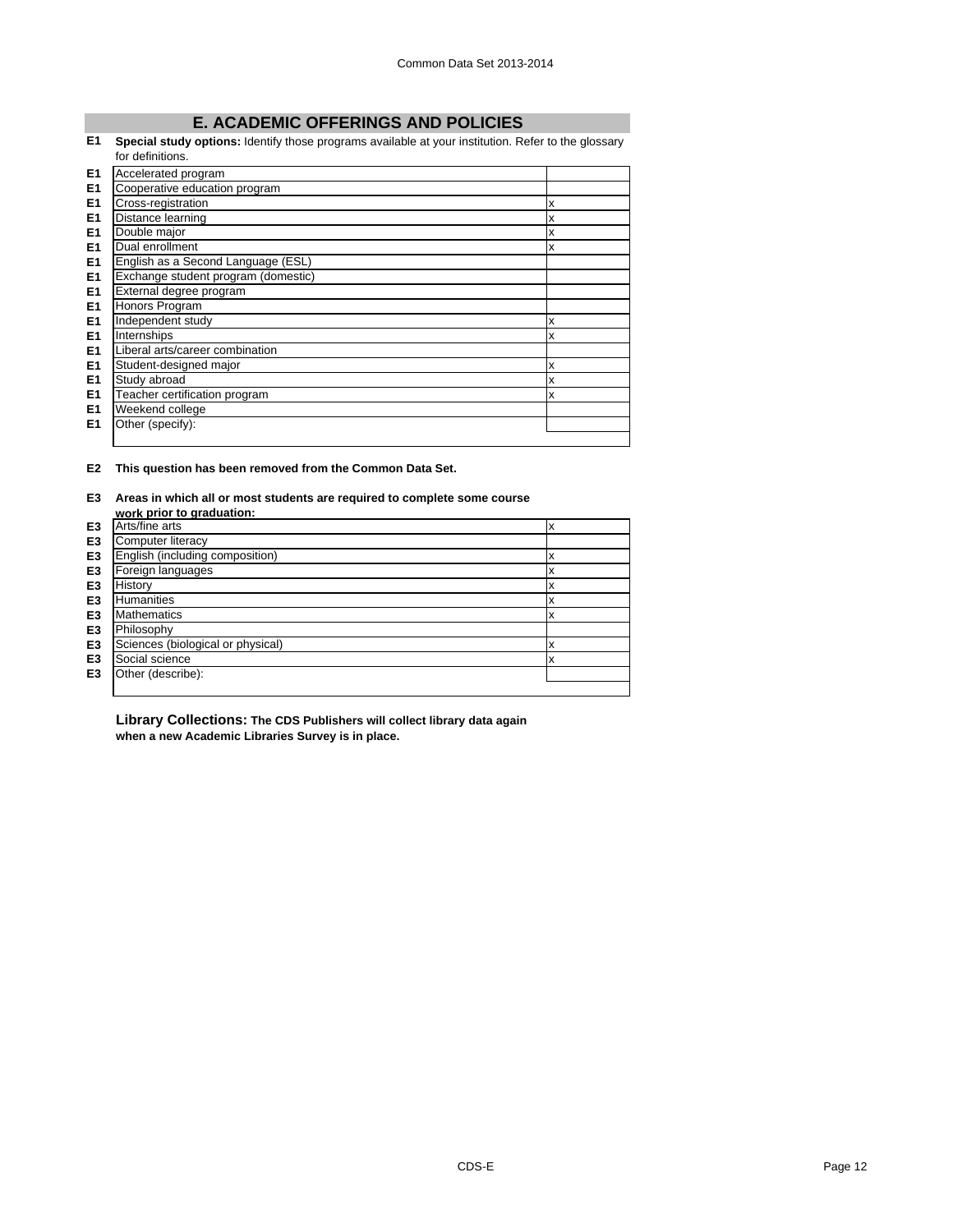# **E. ACADEMIC OFFERINGS AND POLICIES**

#### **E1 Special study options:** Identify those programs available at your institution. Refer to the glossary for definitions.

|                | TOF GEHNITIONS.                     |   |
|----------------|-------------------------------------|---|
| E <sub>1</sub> | Accelerated program                 |   |
| E <sub>1</sub> | Cooperative education program       |   |
| E <sub>1</sub> | Cross-registration                  | x |
| E <sub>1</sub> | Distance learning                   | X |
| E <sub>1</sub> | Double major                        | X |
| E <sub>1</sub> | Dual enrollment                     | X |
| E <sub>1</sub> | English as a Second Language (ESL)  |   |
| E <sub>1</sub> | Exchange student program (domestic) |   |
| E1             | External degree program             |   |
| E1             | Honors Program                      |   |
| E <sub>1</sub> | Independent study                   | X |
| E <sub>1</sub> | Internships                         | X |
| E <sub>1</sub> | Liberal arts/career combination     |   |
| E <sub>1</sub> | Student-designed major              | X |
| E <sub>1</sub> | Study abroad                        | X |
| E <sub>1</sub> | Teacher certification program       | X |
| E <sub>1</sub> | Weekend college                     |   |
| E <sub>1</sub> | Other (specify):                    |   |
|                |                                     |   |

**E2 This question has been removed from the Common Data Set.**

#### **E3 Areas in which all or most students are required to complete some course work prior to graduation:**

|                | work prior to grauuation.         |   |
|----------------|-----------------------------------|---|
| E <sub>3</sub> | Arts/fine arts                    | x |
| E <sub>3</sub> | Computer literacy                 |   |
| E <sub>3</sub> | English (including composition)   | ᄉ |
| E <sub>3</sub> | Foreign languages                 | x |
| E <sub>3</sub> | History                           | x |
| E <sub>3</sub> | <b>Humanities</b>                 | x |
| E <sub>3</sub> | <b>Mathematics</b>                | х |
| E <sub>3</sub> | Philosophy                        |   |
| E <sub>3</sub> | Sciences (biological or physical) | х |
| E <sub>3</sub> | Social science                    | x |
| E <sub>3</sub> | Other (describe):                 |   |
|                |                                   |   |

**Library Collections: The CDS Publishers will collect library data again when a new Academic Libraries Survey is in place.**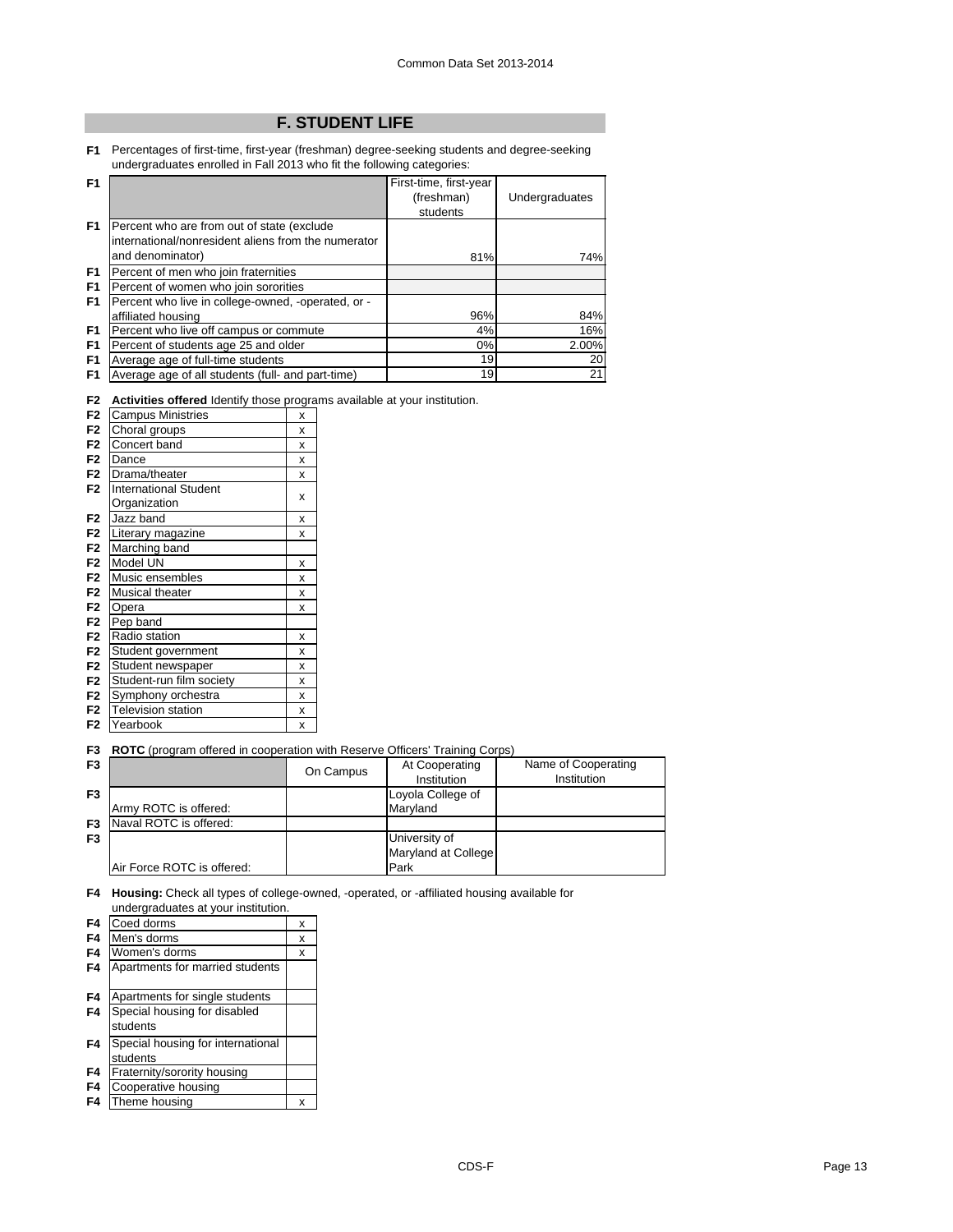# **F. STUDENT LIFE**

**F1** Percentages of first-time, first-year (freshman) degree-seeking students and degree-seeking undergraduates enrolled in Fall 2013 who fit the following categories:

| F <sub>1</sub> |                                                     | First-time, first-year |                |
|----------------|-----------------------------------------------------|------------------------|----------------|
|                |                                                     | (freshman)             | Undergraduates |
|                |                                                     | students               |                |
| F1             | Percent who are from out of state (exclude          |                        |                |
|                | international/nonresident aliens from the numerator |                        |                |
|                | and denominator)                                    | 81%                    | 74%            |
| F <sub>1</sub> | Percent of men who join fraternities                |                        |                |
| F <sub>1</sub> | Percent of women who join sororities                |                        |                |
| F <sub>1</sub> | Percent who live in college-owned, -operated, or -  |                        |                |
|                | affiliated housing                                  | 96%                    | 84%            |
| F <sub>1</sub> | Percent who live off campus or commute              | 4%                     | 16%            |
| F <sub>1</sub> | Percent of students age 25 and older                | 0%                     | 2.00%          |
| F <sub>1</sub> | Average age of full-time students                   | 19                     | 20             |
| F <sub>1</sub> | Average age of all students (full- and part-time)   | 19                     | 21             |

**F2 Activities offered** Identify those programs available at your institution.

|                |                              | -ອະ |
|----------------|------------------------------|-----|
| F <sub>2</sub> | <b>Campus Ministries</b>     | x   |
| F <sub>2</sub> | Choral groups                | x   |
| F <sub>2</sub> | Concert band                 | x   |
| F <sub>2</sub> | Dance                        | x   |
| F <sub>2</sub> | Drama/theater                | x   |
| F <sub>2</sub> | <b>International Student</b> |     |
|                | Organization                 | X   |
| F <sub>2</sub> | Jazz band                    | x   |
| F <sub>2</sub> | Literary magazine            | x   |
| F <sub>2</sub> | Marching band                |     |
| F <sub>2</sub> | Model UN                     | x   |
| F <sub>2</sub> | Music ensembles              | x   |
| F <sub>2</sub> | Musical theater              | x   |
| F <sub>2</sub> | Opera                        | x   |
| F <sub>2</sub> | Pep band                     |     |
| F <sub>2</sub> | Radio station                | x   |
| F <sub>2</sub> | Student government           | X   |
| F <sub>2</sub> | Student newspaper            | X   |
| F <sub>2</sub> | Student-run film society     | x   |
| F <sub>2</sub> | Symphony orchestra           | x   |
| F <sub>2</sub> | <b>Television station</b>    | x   |
| F <sub>2</sub> | Yearbook                     | X   |
|                |                              |     |

**F3 ROTC** (program offered in cooperation with Reserve Officers' Training Corps)

| F <sub>3</sub> |                            | On Campus | At Cooperating<br>Institution | Name of Cooperating<br>Institution |
|----------------|----------------------------|-----------|-------------------------------|------------------------------------|
| F <sub>3</sub> |                            |           | Loyola College of             |                                    |
|                | Army ROTC is offered:      |           | Marvland                      |                                    |
| F <sub>3</sub> | Naval ROTC is offered:     |           |                               |                                    |
| F <sub>3</sub> |                            |           | University of                 |                                    |
|                |                            |           | Maryland at College           |                                    |
|                | Air Force ROTC is offered: |           | Park                          |                                    |

**F4 Housing:** Check all types of college-owned, -operated, or -affiliated housing available for undergraduates at your institution.

| F4             | Coed dorms                        | X |
|----------------|-----------------------------------|---|
| F4             | Men's dorms                       | x |
| F <sub>4</sub> | Women's dorms                     | x |
| F <sub>4</sub> | Apartments for married students   |   |
| F <sub>4</sub> | Apartments for single students    |   |
| F <sub>4</sub> | Special housing for disabled      |   |
|                | students                          |   |
| F4             | Special housing for international |   |
|                | students                          |   |
| F <sub>4</sub> | Fraternity/sorority housing       |   |
| F <sub>4</sub> | Cooperative housing               |   |
| F4             | Theme housing                     | X |
|                |                                   |   |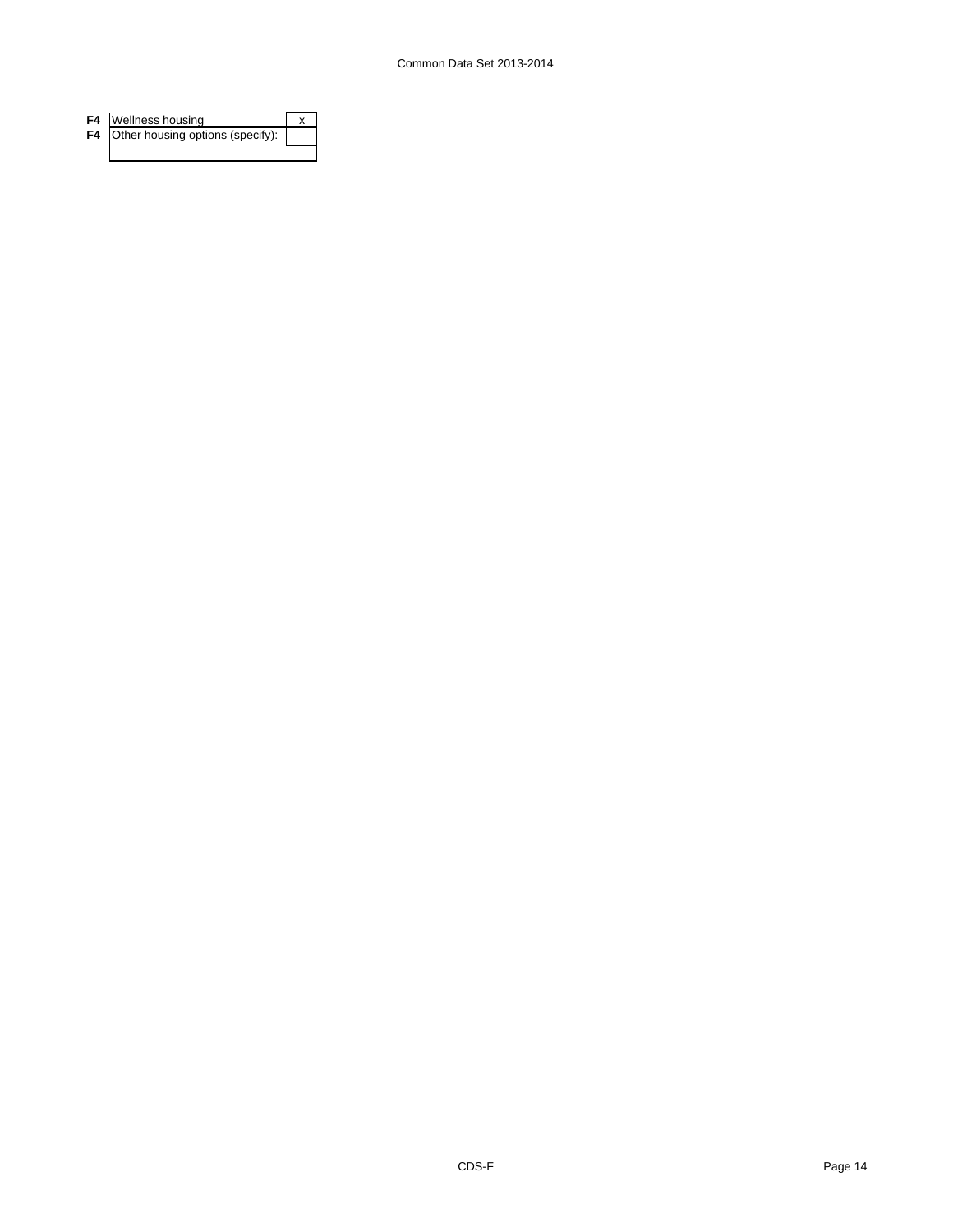| F4 Wellness housing                 |  |
|-------------------------------------|--|
| F4 Other housing options (specify): |  |
|                                     |  |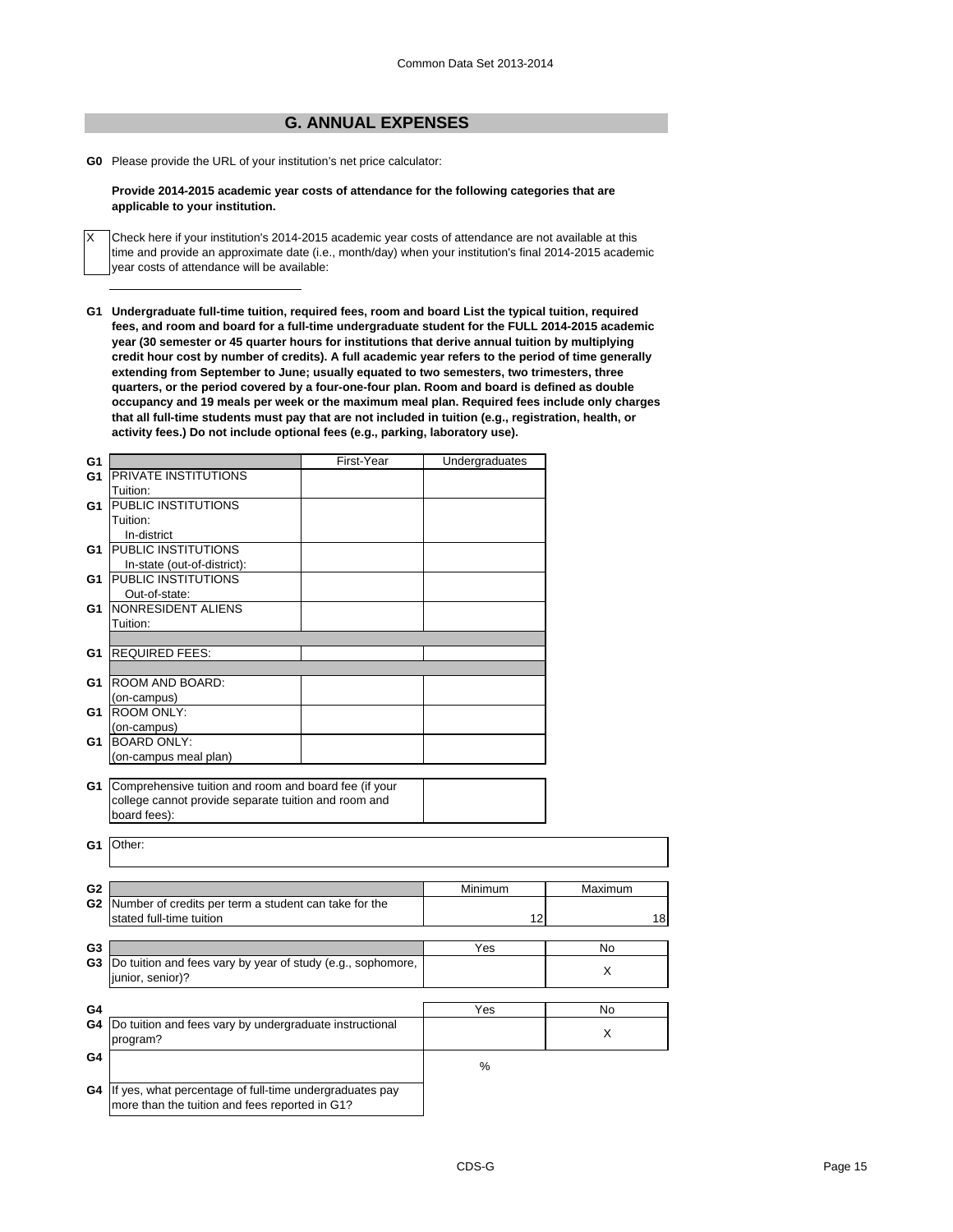# **G. ANNUAL EXPENSES**

**G0** Please provide the URL of your institution's net price calculator:

X

# **Provide 2014-2015 academic year costs of attendance for the following categories that are applicable to your institution.**

Check here if your institution's 2014-2015 academic year costs of attendance are not available at this time and provide an approximate date (i.e., month/day) when your institution's final 2014-2015 academic year costs of attendance will be available:

**G1 Undergraduate full-time tuition, required fees, room and board List the typical tuition, required fees, and room and board for a full-time undergraduate student for the FULL 2014-2015 academic year (30 semester or 45 quarter hours for institutions that derive annual tuition by multiplying credit hour cost by number of credits). A full academic year refers to the period of time generally extending from September to June; usually equated to two semesters, two trimesters, three quarters, or the period covered by a four-one-four plan. Room and board is defined as double occupancy and 19 meals per week or the maximum meal plan. Required fees include only charges that all full-time students must pay that are not included in tuition (e.g., registration, health, or activity fees.) Do not include optional fees (e.g., parking, laboratory use).**

| G <sub>1</sub>                   |                                                                                   | First-Year | Undergraduates    |         |
|----------------------------------|-----------------------------------------------------------------------------------|------------|-------------------|---------|
| G1                               | PRIVATE INSTITUTIONS                                                              |            |                   |         |
|                                  | Tuition:                                                                          |            |                   |         |
| G1                               | PUBLIC INSTITUTIONS                                                               |            |                   |         |
|                                  | Tuition:                                                                          |            |                   |         |
|                                  | In-district                                                                       |            |                   |         |
| G1                               | <b>PUBLIC INSTITUTIONS</b>                                                        |            |                   |         |
|                                  | In-state (out-of-district):                                                       |            |                   |         |
| G1                               | PUBLIC INSTITUTIONS                                                               |            |                   |         |
|                                  | Out-of-state:                                                                     |            |                   |         |
| G1                               | NONRESIDENT ALIENS                                                                |            |                   |         |
|                                  | Tuition:                                                                          |            |                   |         |
|                                  |                                                                                   |            |                   |         |
| G1                               | <b>REQUIRED FEES:</b>                                                             |            |                   |         |
|                                  |                                                                                   |            |                   |         |
| G1                               | ROOM AND BOARD:                                                                   |            |                   |         |
|                                  | (on-campus)                                                                       |            |                   |         |
| G1                               | <b>ROOM ONLY:</b>                                                                 |            |                   |         |
|                                  | (on-campus)                                                                       |            |                   |         |
| G1                               | <b>BOARD ONLY:</b>                                                                |            |                   |         |
|                                  | (on-campus meal plan)                                                             |            |                   |         |
|                                  |                                                                                   |            |                   |         |
| G1                               | Comprehensive tuition and room and board fee (if your                             |            |                   |         |
|                                  | college cannot provide separate tuition and room and                              |            |                   |         |
|                                  | board fees):                                                                      |            |                   |         |
|                                  |                                                                                   |            |                   |         |
| G1                               | Other:                                                                            |            |                   |         |
|                                  |                                                                                   |            |                   |         |
|                                  |                                                                                   |            |                   |         |
| G <sub>2</sub><br>G <sub>2</sub> |                                                                                   |            | Minimum           | Maximum |
|                                  | Number of credits per term a student can take for the<br>stated full-time tuition |            | 12                |         |
|                                  |                                                                                   |            |                   | 18      |
| G <sub>3</sub>                   |                                                                                   |            | $\overline{Y}$ es | No      |
| G3                               | Do tuition and fees vary by year of study (e.g., sophomore,                       |            |                   |         |
|                                  | junior, senior)?                                                                  |            |                   | X       |
|                                  |                                                                                   |            |                   |         |
|                                  |                                                                                   |            |                   |         |
| G4                               |                                                                                   |            | Yes               | No      |
| G4                               | Do tuition and fees vary by undergraduate instructional                           |            |                   | X       |
|                                  | program?                                                                          |            |                   |         |
| G4                               |                                                                                   |            | %                 |         |
|                                  |                                                                                   |            |                   |         |
| G4                               | If yes, what percentage of full-time undergraduates pay                           |            |                   |         |
|                                  | more than the tuition and fees reported in G1?                                    |            |                   |         |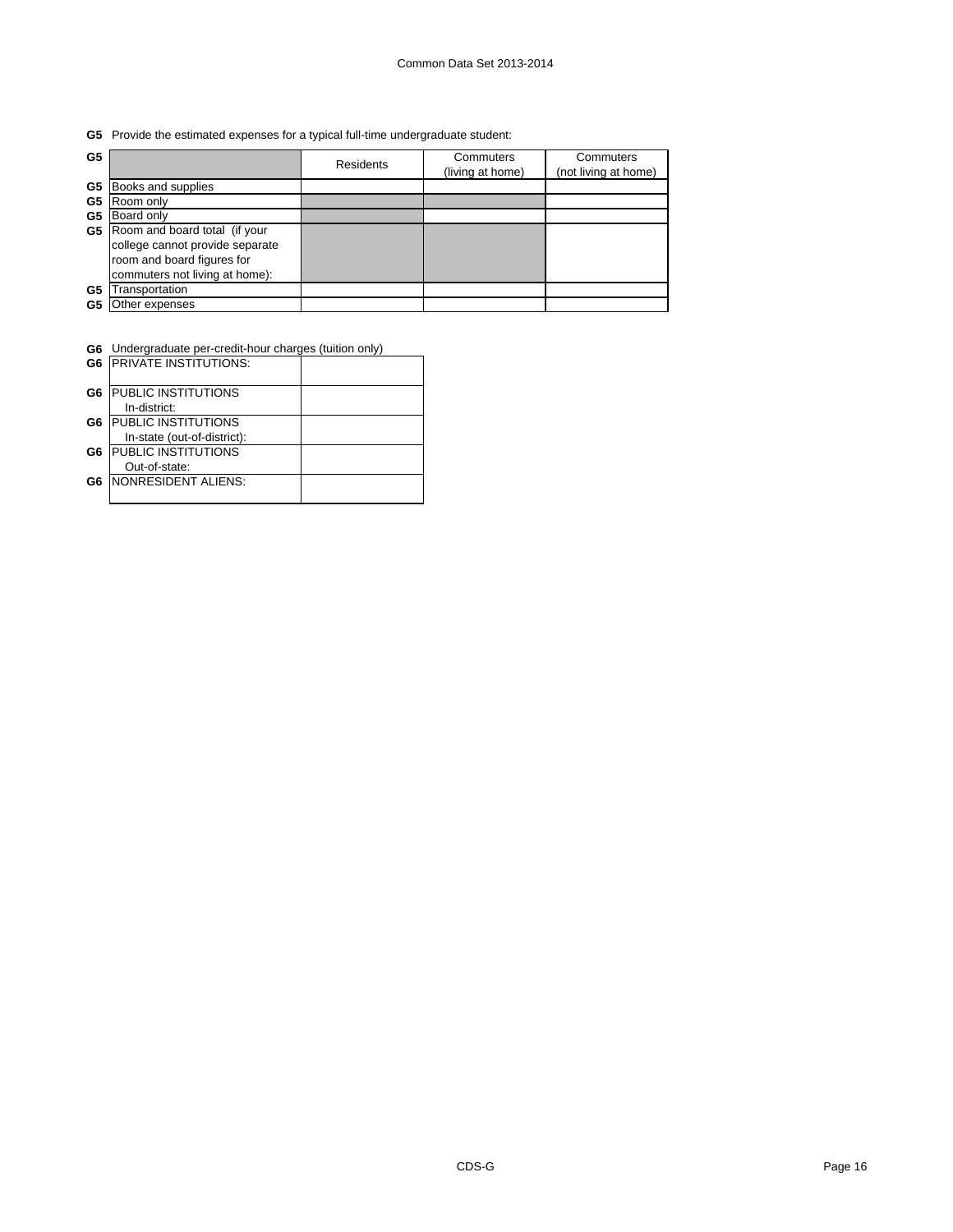**G5** Provide the estimated expenses for a typical full-time undergraduate student:

| G5 |                                 | <b>Residents</b> | Commuters<br>(living at home) | Commuters<br>(not living at home) |
|----|---------------------------------|------------------|-------------------------------|-----------------------------------|
| G5 | Books and supplies              |                  |                               |                                   |
| G5 | Room only                       |                  |                               |                                   |
| G5 | Board only                      |                  |                               |                                   |
| G5 | Room and board total (if your   |                  |                               |                                   |
|    | college cannot provide separate |                  |                               |                                   |
|    | room and board figures for      |                  |                               |                                   |
|    | commuters not living at home):  |                  |                               |                                   |
| G5 | ransportation                   |                  |                               |                                   |
| G5 | Other expenses                  |                  |                               |                                   |

| <b>G6</b> Undergraduate per-credit-hour charges (tuition only) |  |
|----------------------------------------------------------------|--|
|                                                                |  |

| G <sub>6</sub> | <b>IPRIVATE INSTITUTIONS:</b> |  |
|----------------|-------------------------------|--|
| G6             | <b>IPUBLIC INSTITUTIONS</b>   |  |
|                | In-district:                  |  |
| G6             | <b>PUBLIC INSTITUTIONS</b>    |  |
|                | In-state (out-of-district):   |  |
| G6             | <b>PUBLIC INSTITUTIONS</b>    |  |
|                | Out-of-state:                 |  |
| G6             | <b>NONRESIDENT ALIENS:</b>    |  |
|                |                               |  |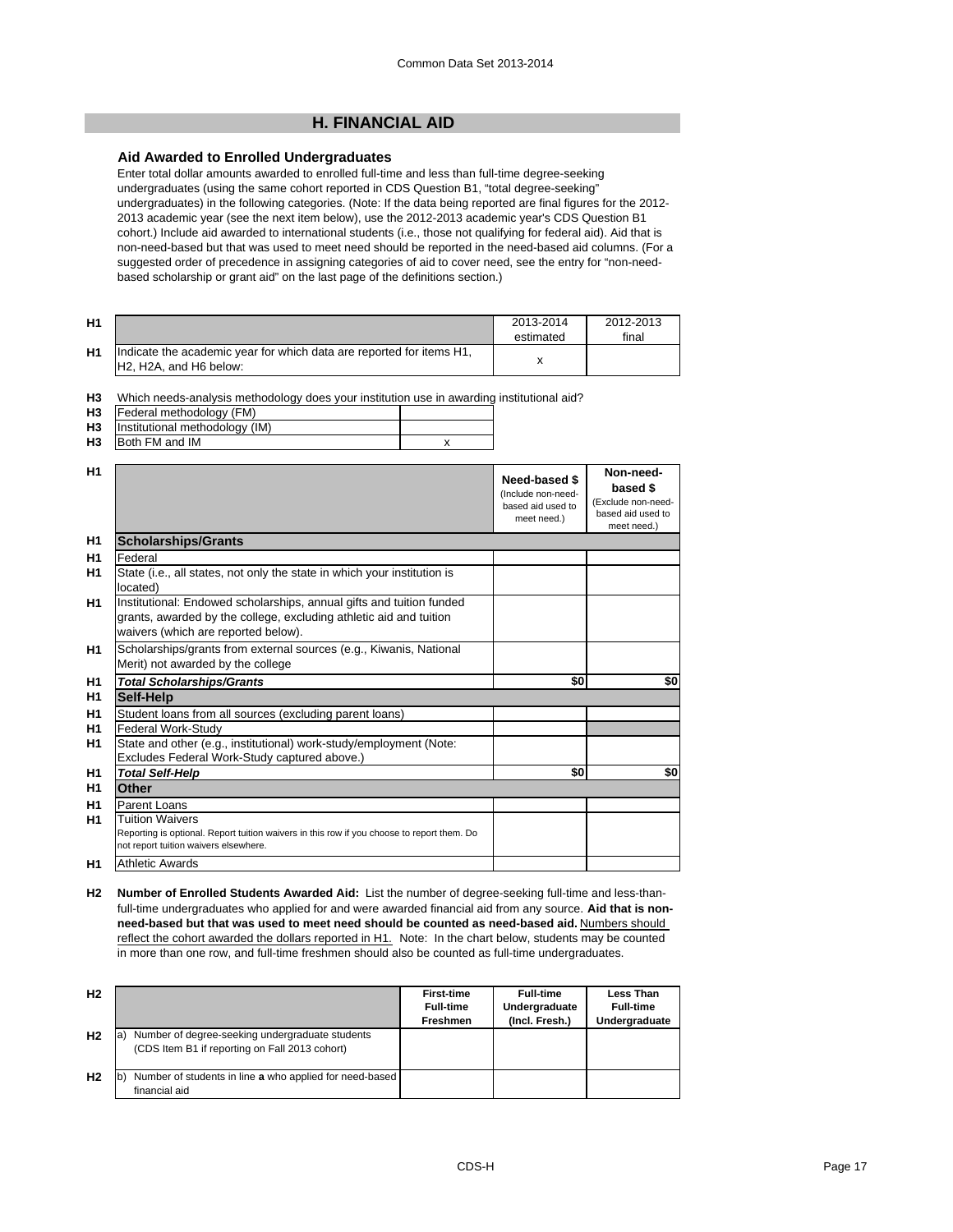# **H. FINANCIAL AID**

# **Aid Awarded to Enrolled Undergraduates**

Enter total dollar amounts awarded to enrolled full-time and less than full-time degree-seeking undergraduates (using the same cohort reported in CDS Question B1, "total degree-seeking" undergraduates) in the following categories. (Note: If the data being reported are final figures for the 2012- 2013 academic year (see the next item below), use the 2012-2013 academic year's CDS Question B1 cohort.) Include aid awarded to international students (i.e., those not qualifying for federal aid). Aid that is non-need-based but that was used to meet need should be reported in the need-based aid columns. (For a suggested order of precedence in assigning categories of aid to cover need, see the entry for "non-needbased scholarship or grant aid" on the last page of the definitions section.)

| H <sub>1</sub> |                                                                                                                                      | 2013-2014<br>estimated | 2012-2013<br>final |
|----------------|--------------------------------------------------------------------------------------------------------------------------------------|------------------------|--------------------|
| H <sub>1</sub> | Indicate the academic year for which data are reported for items H1,<br>H <sub>2</sub> . H <sub>2</sub> A, and H <sub>6</sub> below: |                        |                    |

**H3** Which needs-analysis methodology does your institution use in awarding institutional aid?

| H3 Federal methodology (FM)         |  |
|-------------------------------------|--|
| H3   Institutional methodology (IM) |  |

| .              | $\ldots$       |  |
|----------------|----------------|--|
| H <sub>3</sub> | Both FM and IM |  |
|                |                |  |

| H1             |                                                                                                                                                                                   | Need-based \$<br>(Include non-need-<br>based aid used to<br>meet need.) | Non-need-<br>based \$<br>(Exclude non-need-<br>based aid used to<br>meet need.) |
|----------------|-----------------------------------------------------------------------------------------------------------------------------------------------------------------------------------|-------------------------------------------------------------------------|---------------------------------------------------------------------------------|
| H <sub>1</sub> | <b>Scholarships/Grants</b>                                                                                                                                                        |                                                                         |                                                                                 |
| H1             | Federal                                                                                                                                                                           |                                                                         |                                                                                 |
| H <sub>1</sub> | State (i.e., all states, not only the state in which your institution is<br>located)                                                                                              |                                                                         |                                                                                 |
| H1             | Institutional: Endowed scholarships, annual gifts and tuition funded<br>grants, awarded by the college, excluding athletic aid and tuition<br>waivers (which are reported below). |                                                                         |                                                                                 |
| H <sub>1</sub> | Scholarships/grants from external sources (e.g., Kiwanis, National<br>Merit) not awarded by the college                                                                           |                                                                         |                                                                                 |
| H <sub>1</sub> | <b>Total Scholarships/Grants</b>                                                                                                                                                  | \$0                                                                     | \$0                                                                             |
| H1             | Self-Help                                                                                                                                                                         |                                                                         |                                                                                 |
| H <sub>1</sub> | Student loans from all sources (excluding parent loans)                                                                                                                           |                                                                         |                                                                                 |
| H1             | Federal Work-Study                                                                                                                                                                |                                                                         |                                                                                 |
| H1             | State and other (e.g., institutional) work-study/employment (Note:                                                                                                                |                                                                         |                                                                                 |
|                | Excludes Federal Work-Study captured above.)                                                                                                                                      |                                                                         |                                                                                 |
| H1             | <b>Total Self-Help</b>                                                                                                                                                            | \$0                                                                     | \$0                                                                             |
| H1             | Other                                                                                                                                                                             |                                                                         |                                                                                 |
| H <sub>1</sub> | Parent Loans                                                                                                                                                                      |                                                                         |                                                                                 |
| H1             | Tuition Waivers<br>Reporting is optional. Report tuition waivers in this row if you choose to report them. Do<br>not report tuition waivers elsewhere.                            |                                                                         |                                                                                 |
| H1             | <b>Athletic Awards</b>                                                                                                                                                            |                                                                         |                                                                                 |

**H2 Number of Enrolled Students Awarded Aid:** List the number of degree-seeking full-time and less-thanfull-time undergraduates who applied for and were awarded financial aid from any source. **Aid that is nonneed-based but that was used to meet need should be counted as need-based aid.** Numbers should reflect the cohort awarded the dollars reported in H1. Note: In the chart below, students may be counted in more than one row, and full-time freshmen should also be counted as full-time undergraduates.

| H <sub>2</sub> |                                                                                                          | <b>First-time</b><br><b>Full-time</b><br>Freshmen | <b>Full-time</b><br>Undergraduate<br>(Incl. Fresh.) | Less Than<br><b>Full-time</b><br>Undergraduate |
|----------------|----------------------------------------------------------------------------------------------------------|---------------------------------------------------|-----------------------------------------------------|------------------------------------------------|
| H <sub>2</sub> | Number of degree-seeking undergraduate students<br>la,<br>(CDS Item B1 if reporting on Fall 2013 cohort) |                                                   |                                                     |                                                |
| H <sub>2</sub> | Number of students in line a who applied for need-based<br>Ib.<br>financial aid                          |                                                   |                                                     |                                                |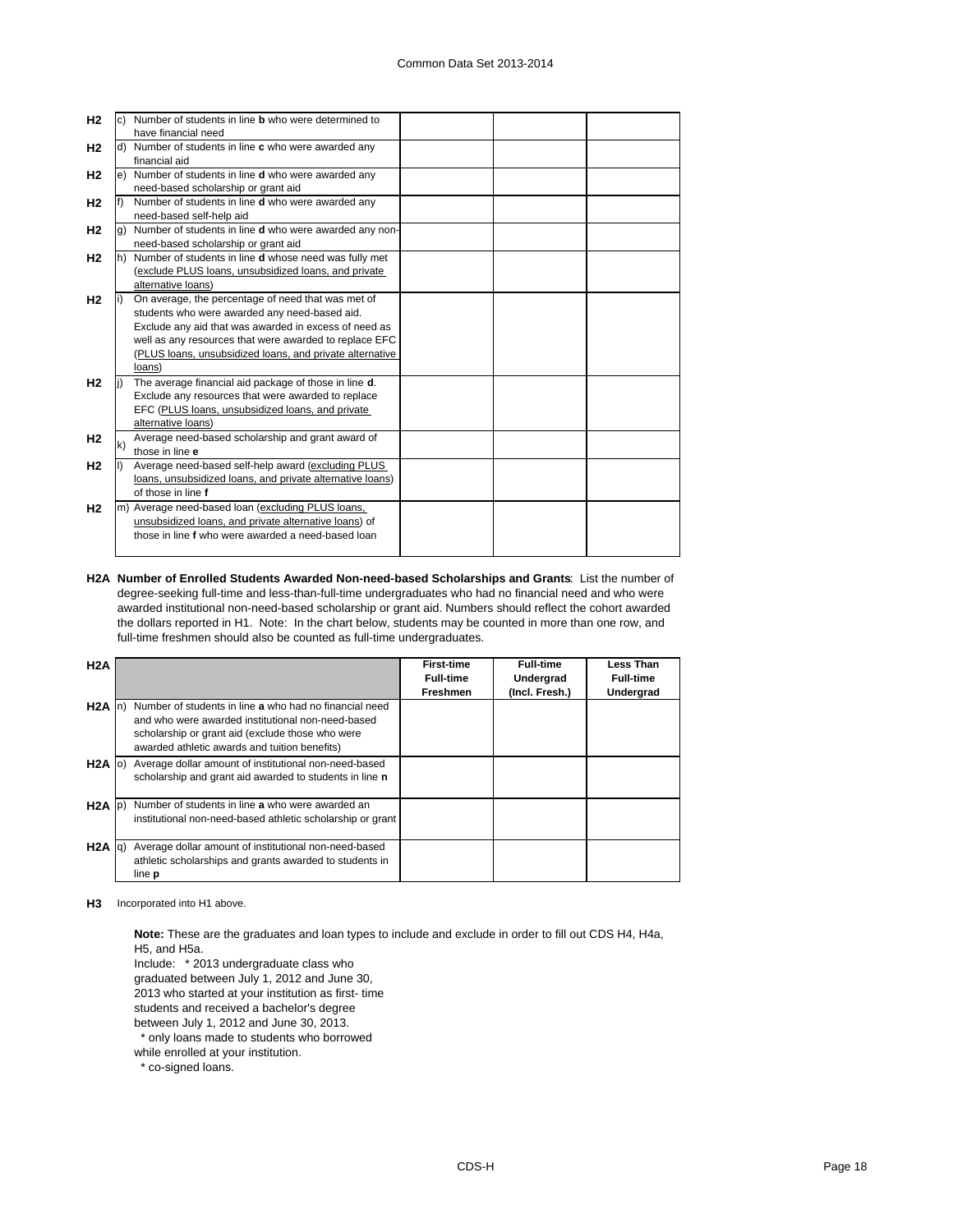| H <sub>2</sub> |    | Number of students in line <b>b</b> who were determined to   |  |  |
|----------------|----|--------------------------------------------------------------|--|--|
|                |    | have financial need                                          |  |  |
| H <sub>2</sub> |    | Number of students in line c who were awarded any            |  |  |
|                |    | financial aid                                                |  |  |
| H <sub>2</sub> | e) | Number of students in line <b>d</b> who were awarded any     |  |  |
|                |    | need-based scholarship or grant aid                          |  |  |
| H <sub>2</sub> |    | Number of students in line <b>d</b> who were awarded any     |  |  |
|                |    | need-based self-help aid                                     |  |  |
| H <sub>2</sub> |    | Number of students in line d who were awarded any non-       |  |  |
|                |    | need-based scholarship or grant aid                          |  |  |
| H <sub>2</sub> |    | Number of students in line <b>d</b> whose need was fully met |  |  |
|                |    | (exclude PLUS loans, unsubsidized loans, and private         |  |  |
|                |    | alternative loans)                                           |  |  |
| H <sub>2</sub> |    | On average, the percentage of need that was met of           |  |  |
|                |    | students who were awarded any need-based aid.                |  |  |
|                |    | Exclude any aid that was awarded in excess of need as        |  |  |
|                |    | well as any resources that were awarded to replace EFC       |  |  |
|                |    | (PLUS loans, unsubsidized loans, and private alternative     |  |  |
|                |    | loans)                                                       |  |  |
| H <sub>2</sub> |    | The average financial aid package of those in line d.        |  |  |
|                |    | Exclude any resources that were awarded to replace           |  |  |
|                |    | EFC (PLUS loans, unsubsidized loans, and private             |  |  |
|                |    | alternative loans)                                           |  |  |
| H <sub>2</sub> | k) | Average need-based scholarship and grant award of            |  |  |
|                |    | those in line e                                              |  |  |
| H <sub>2</sub> |    | Average need-based self-help award (excluding PLUS           |  |  |
|                |    | loans, unsubsidized loans, and private alternative loans)    |  |  |
|                |    | of those in line f                                           |  |  |
| H <sub>2</sub> | m) | Average need-based loan (excluding PLUS loans,               |  |  |
|                |    | unsubsidized loans, and private alternative loans) of        |  |  |
|                |    | those in line f who were awarded a need-based loan           |  |  |
|                |    |                                                              |  |  |

**H2A Number of Enrolled Students Awarded Non-need-based Scholarships and Grants**: List the number of degree-seeking full-time and less-than-full-time undergraduates who had no financial need and who were awarded institutional non-need-based scholarship or grant aid. Numbers should reflect the cohort awarded the dollars reported in H1. Note: In the chart below, students may be counted in more than one row, and full-time freshmen should also be counted as full-time undergraduates.

| H2A         |                                                                                                                                                                                                                  | <b>First-time</b><br><b>Full-time</b><br><b>Freshmen</b> | <b>Full-time</b><br>Undergrad<br>(Incl. Fresh.) | Less Than<br><b>Full-time</b><br>Undergrad |
|-------------|------------------------------------------------------------------------------------------------------------------------------------------------------------------------------------------------------------------|----------------------------------------------------------|-------------------------------------------------|--------------------------------------------|
| $H2A$ In    | Number of students in line a who had no financial need<br>and who were awarded institutional non-need-based<br>scholarship or grant aid (exclude those who were<br>awarded athletic awards and tuition benefits) |                                                          |                                                 |                                            |
| $H2A$ (o)   | Average dollar amount of institutional non-need-based<br>scholarship and grant aid awarded to students in line n                                                                                                 |                                                          |                                                 |                                            |
| $H2A$ $p)$  | Number of students in line a who were awarded an<br>institutional non-need-based athletic scholarship or grant                                                                                                   |                                                          |                                                 |                                            |
| $H2A$ $q$ ) | Average dollar amount of institutional non-need-based<br>athletic scholarships and grants awarded to students in<br>line <b>p</b>                                                                                |                                                          |                                                 |                                            |

**H3** Incorporated into H1 above.

**Note:** These are the graduates and loan types to include and exclude in order to fill out CDS H4, H4a, H5, and H5a.

Include: \* 2013 undergraduate class who

graduated between July 1, 2012 and June 30,

2013 who started at your institution as first- time

students and received a bachelor's degree

between July 1, 2012 and June 30, 2013.

\* only loans made to students who borrowed

while enrolled at your institution.

\* co-signed loans.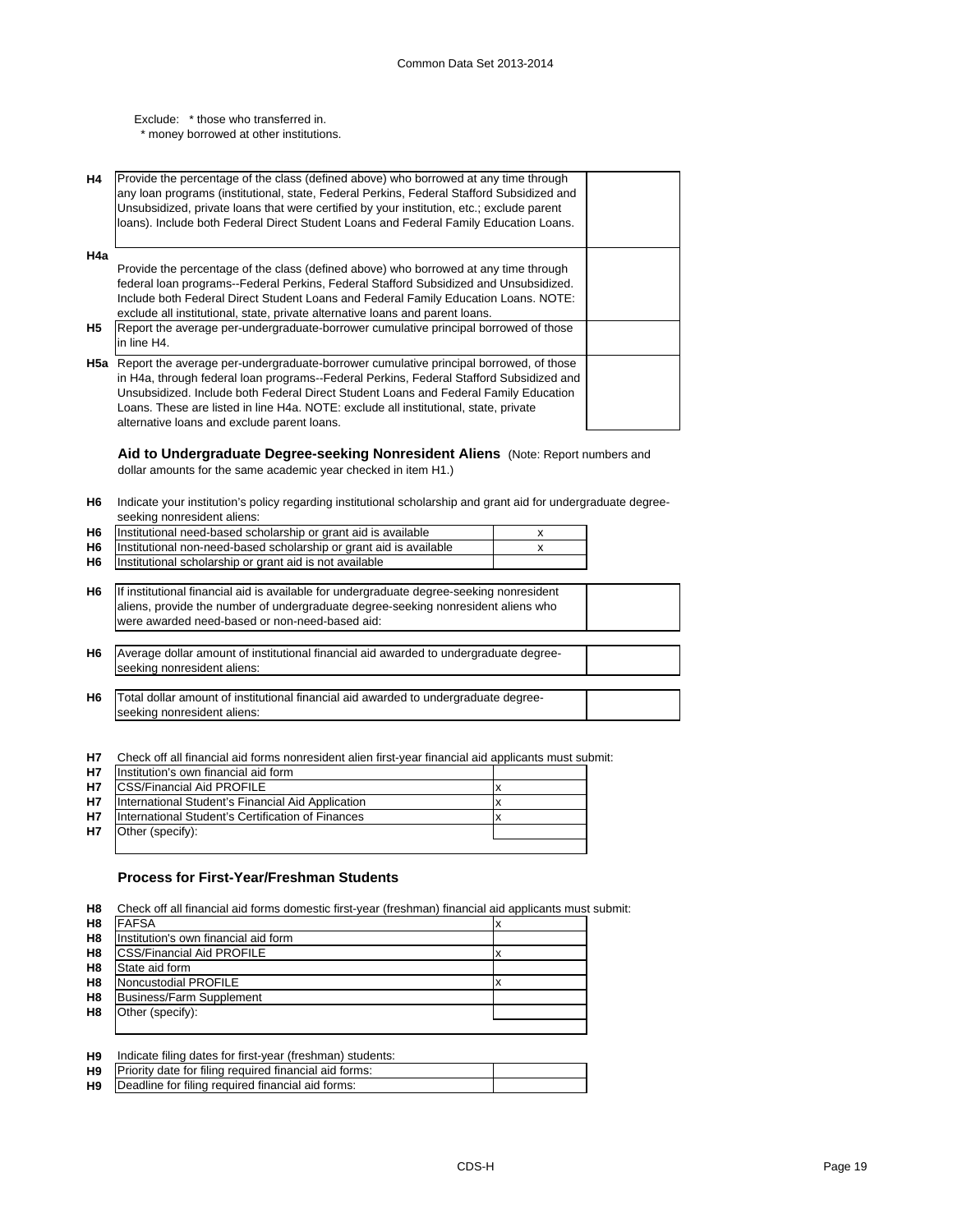Exclude: \* those who transferred in.

\* money borrowed at other institutions.

| <b>H4</b> | Provide the percentage of the class (defined above) who borrowed at any time through<br>any loan programs (institutional, state, Federal Perkins, Federal Stafford Subsidized and<br>Unsubsidized, private loans that were certified by your institution, etc.; exclude parent<br>loans). Include both Federal Direct Student Loans and Federal Family Education Loans. |  |
|-----------|-------------------------------------------------------------------------------------------------------------------------------------------------------------------------------------------------------------------------------------------------------------------------------------------------------------------------------------------------------------------------|--|
| H4a       |                                                                                                                                                                                                                                                                                                                                                                         |  |
|           | Provide the percentage of the class (defined above) who borrowed at any time through                                                                                                                                                                                                                                                                                    |  |
|           | federal loan programs--Federal Perkins, Federal Stafford Subsidized and Unsubsidized.                                                                                                                                                                                                                                                                                   |  |
|           | Include both Federal Direct Student Loans and Federal Family Education Loans. NOTE:                                                                                                                                                                                                                                                                                     |  |
|           | exclude all institutional, state, private alternative loans and parent loans.                                                                                                                                                                                                                                                                                           |  |
| H5        | Report the average per-undergraduate-borrower cumulative principal borrowed of those                                                                                                                                                                                                                                                                                    |  |
|           | in line H4.                                                                                                                                                                                                                                                                                                                                                             |  |
|           | <b>H5a</b> Report the average per-undergraduate-borrower cumulative principal borrowed, of those                                                                                                                                                                                                                                                                        |  |
|           | in H4a, through federal loan programs--Federal Perkins, Federal Stafford Subsidized and                                                                                                                                                                                                                                                                                 |  |
|           | Unsubsidized. Include both Federal Direct Student Loans and Federal Family Education                                                                                                                                                                                                                                                                                    |  |
|           |                                                                                                                                                                                                                                                                                                                                                                         |  |
|           | Loans. These are listed in line H4a. NOTE: exclude all institutional, state, private                                                                                                                                                                                                                                                                                    |  |
|           | alternative loans and exclude parent loans.                                                                                                                                                                                                                                                                                                                             |  |

**Aid to Undergraduate Degree-seeking Nonresident Aliens** (Note: Report numbers and dollar amounts for the same academic year checked in item H1.)

**H6** Indicate your institution's policy regarding institutional scholarship and grant aid for undergraduate degreeseeking nonresident aliens:

| H <sub>6</sub> | Institutional need-based scholarship or grant aid is available          |  |
|----------------|-------------------------------------------------------------------------|--|
|                | H6   Institutional non-need-based scholarship or grant aid is available |  |
|                | H6   Institutional scholarship or grant aid is not available            |  |

**H6** If institutional financial aid is available for undergraduate degree-seeking nonresident aliens, provide the number of undergraduate degree-seeking nonresident aliens who were awarded need-based or non-need-based aid:

- **H6** Average dollar amount of institutional financial aid awarded to undergraduate degreeseeking nonresident aliens:
- **H6** Total dollar amount of institutional financial aid awarded to undergraduate degreeseeking nonresident aliens:

**H7** Check off all financial aid forms nonresident alien first-year financial aid applicants must submit:

| <b>H7</b> | Institution's own financial aid form              |  |
|-----------|---------------------------------------------------|--|
| <b>H7</b> | <b>ICSS/Financial Aid PROFILE</b>                 |  |
| <b>H7</b> | International Student's Financial Aid Application |  |
| <b>H7</b> | International Student's Certification of Finances |  |
| H7        | Other (specify):                                  |  |
|           |                                                   |  |

# **Process for First-Year/Freshman Students**

**H8** Check off all financial aid forms domestic first-year (freshman) financial aid applicants must submit:

| H <sub>8</sub> | <b>FAFSA</b>                         | X |
|----------------|--------------------------------------|---|
| H <sub>8</sub> | Institution's own financial aid form |   |
| H <sub>8</sub> | <b>ICSS/Financial Aid PROFILE</b>    |   |
| H <sub>8</sub> | State aid form                       |   |
| H <sub>8</sub> | Noncustodial PROFILE                 |   |
| H <sub>8</sub> | <b>Business/Farm Supplement</b>      |   |
| H <sub>8</sub> | Other (specify):                     |   |
|                |                                      |   |

| H <sub>9</sub> | Indicate filing dates for first-year (freshman) students:        |  |
|----------------|------------------------------------------------------------------|--|
|                | <b>H9</b> Priority date for filing required financial aid forms: |  |
| H9             | Deadline for filing required financial aid forms:                |  |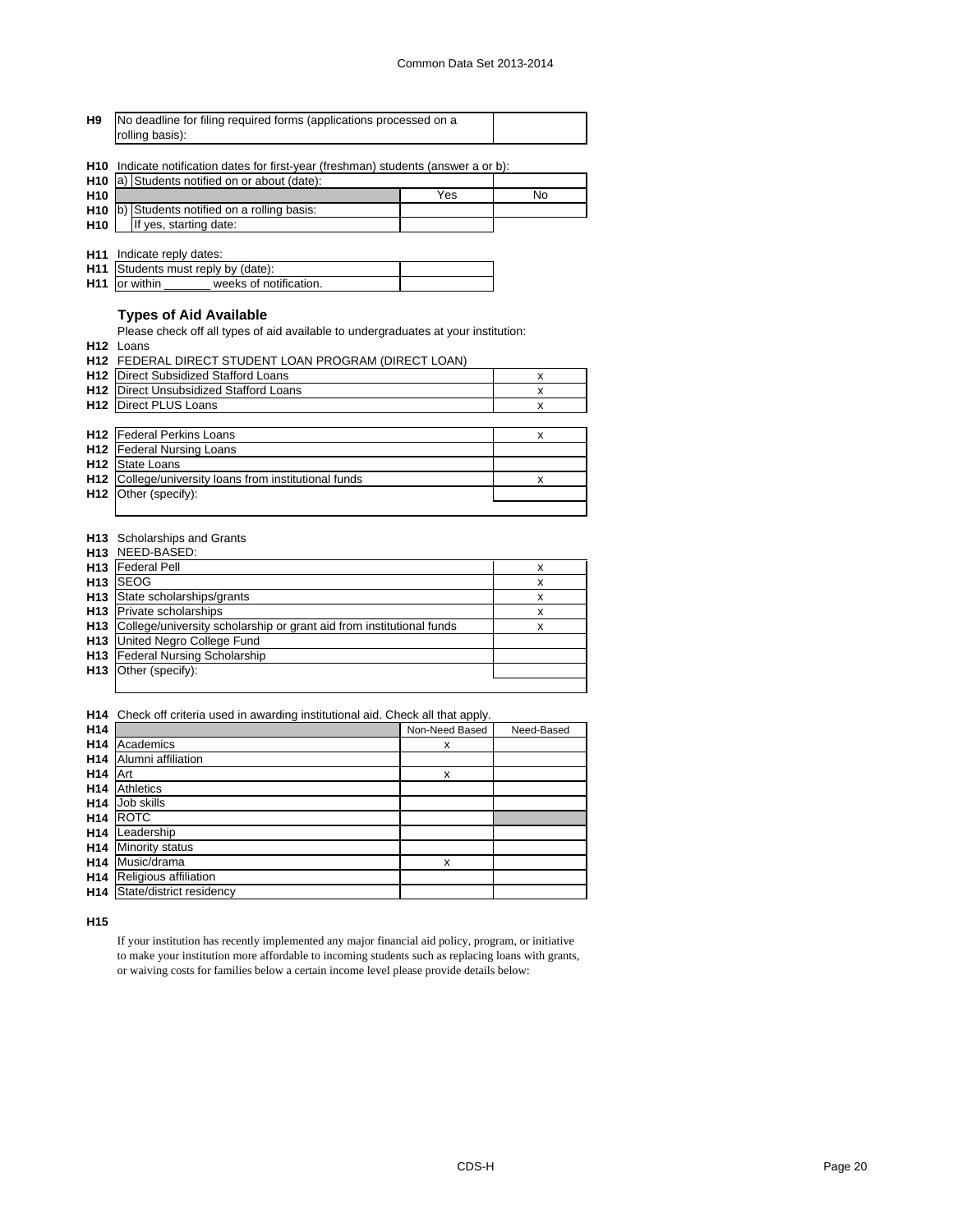| H9 | No deadline for filing required forms (applications processed on a |  |
|----|--------------------------------------------------------------------|--|
|    | rolling basis):                                                    |  |

**H10** Indicate notification dates for first-year (freshman) students (answer a or b):

|                 | H <sub>10</sub> a) Students notified on or about (date): |     |    |
|-----------------|----------------------------------------------------------|-----|----|
| H <sub>10</sub> |                                                          | Yes | No |
|                 | H <sub>10</sub> b) Students notified on a rolling basis: |     |    |
| <b>H10</b>      | If yes, starting date:                                   |     |    |

**H11** Indicate reply dates:

| H11 Students must reply by (date):             |  |
|------------------------------------------------|--|
| <b>H11</b> or within<br>weeks of notification. |  |

# **Types of Aid Available**

Please check off all types of aid available to undergraduates at your institution:

**H12** Loans

|                 | <b>H12 FEDERAL DIRECT STUDENT LOAN PROGRAM (DIRECT LOAN)</b> |   |  |  |  |
|-----------------|--------------------------------------------------------------|---|--|--|--|
| H <sub>12</sub> | Direct Subsidized Stafford Loans                             | x |  |  |  |
| H <sub>12</sub> | Direct Unsubsidized Stafford Loans                           | x |  |  |  |
| H <sub>12</sub> | Direct PLUS Loans                                            | х |  |  |  |
|                 |                                                              |   |  |  |  |
| H <sub>12</sub> | <b>Federal Perkins Loans</b>                                 | х |  |  |  |
| H <sub>12</sub> | Federal Nursing Loans                                        |   |  |  |  |
| H <sub>12</sub> | State Loans                                                  |   |  |  |  |
| H <sub>12</sub> | College/university loans from institutional funds            | x |  |  |  |
| H <sub>12</sub> | Other (specify):                                             |   |  |  |  |
|                 |                                                              |   |  |  |  |

#### **H13** Scholarships and Grants

|                 | H13 NEED-BASED:                                                          |   |
|-----------------|--------------------------------------------------------------------------|---|
| H <sub>13</sub> | <b>Federal Pell</b>                                                      | х |
| H <sub>13</sub> | <b>ISEOG</b>                                                             | х |
|                 | H <sub>13</sub> State scholarships/grants                                | x |
|                 | <b>H13</b> Private scholarships                                          | х |
|                 | H13 College/university scholarship or grant aid from institutional funds | х |
|                 | <b>H13</b> United Negro College Fund                                     |   |
|                 | H13 Federal Nursing Scholarship                                          |   |
|                 | H <sub>13</sub> Other (specify):                                         |   |
|                 |                                                                          |   |

**H14** Check off criteria used in awarding institutional aid. Check all that apply.

| H <sub>14</sub> |                          | Non-Need Based | Need-Based |
|-----------------|--------------------------|----------------|------------|
| H <sub>14</sub> | Academics                | x              |            |
| H <sub>14</sub> | Alumni affiliation       |                |            |
| H <sub>14</sub> | Art                      | x              |            |
| H <sub>14</sub> | <b>Athletics</b>         |                |            |
| H <sub>14</sub> | Job skills               |                |            |
| H <sub>14</sub> | <b>ROTC</b>              |                |            |
| H <sub>14</sub> | Leadership               |                |            |
| H <sub>14</sub> | Minority status          |                |            |
| H <sub>14</sub> | Music/drama              | x              |            |
| H <sub>14</sub> | Religious affiliation    |                |            |
| H <sub>14</sub> | State/district residency |                |            |
|                 |                          |                |            |

**H15**

If your institution has recently implemented any major financial aid policy, program, or initiative to make your institution more affordable to incoming students such as replacing loans with grants, or waiving costs for families below a certain income level please provide details below: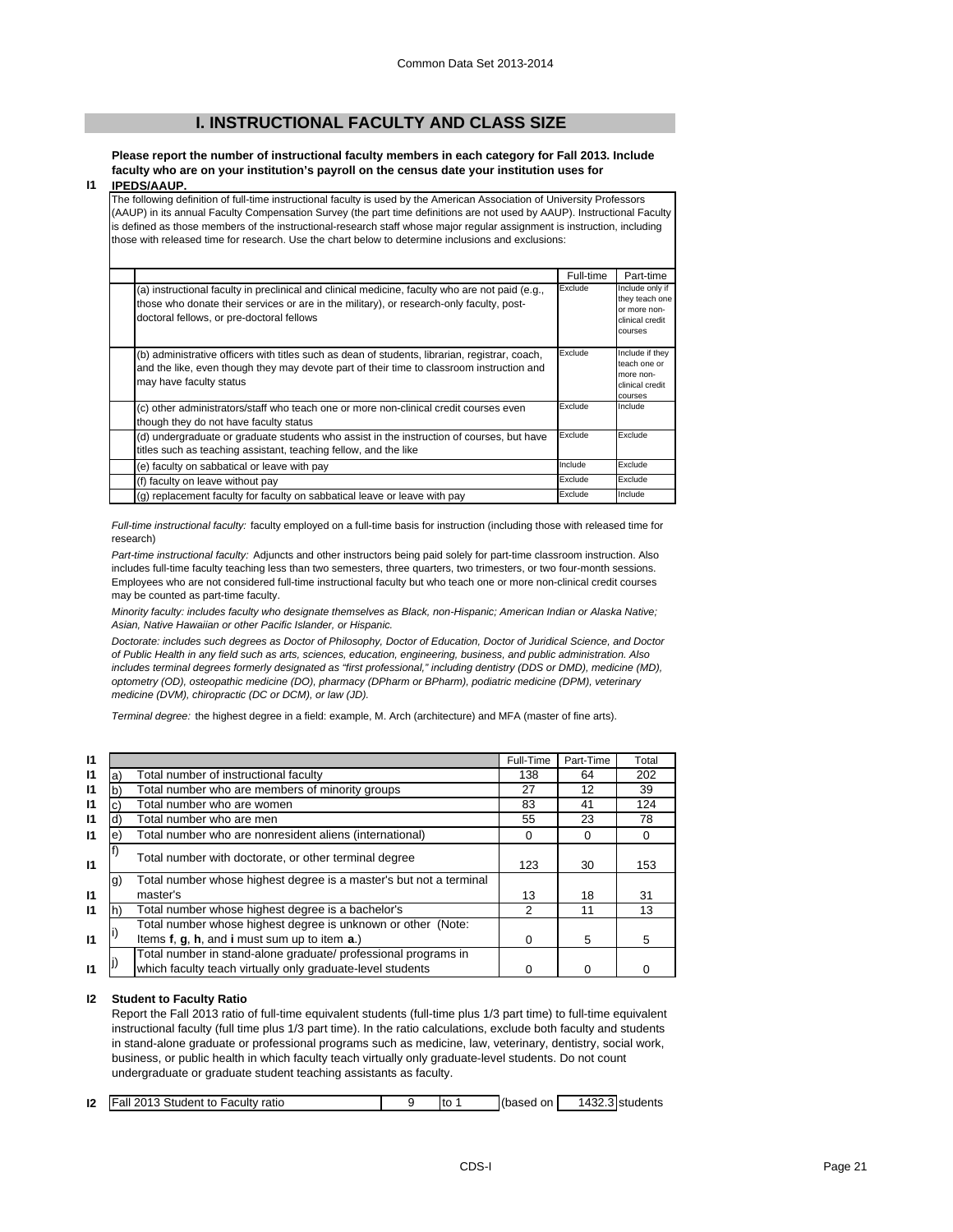# **I. INSTRUCTIONAL FACULTY AND CLASS SIZE**

**Please report the number of instructional faculty members in each category for Fall 2013. Include faculty who are on your institution's payroll on the census date your institution uses for** 

#### **I1 IPEDS/AAUP.**

The following definition of full-time instructional faculty is used by the American Association of University Professors (AAUP) in its annual Faculty Compensation Survey (the part time definitions are not used by AAUP). Instructional Faculty is defined as those members of the instructional-research staff whose major regular assignment is instruction, including those with released time for research. Use the chart below to determine inclusions and exclusions:

|                                                                                                                                                                                                                                          | Full-time | Part-time                                                                       |
|------------------------------------------------------------------------------------------------------------------------------------------------------------------------------------------------------------------------------------------|-----------|---------------------------------------------------------------------------------|
| (a) instructional faculty in preclinical and clinical medicine, faculty who are not paid (e.g.,<br>those who donate their services or are in the military), or research-only faculty, post-<br>doctoral fellows, or pre-doctoral fellows | Exclude   | Include only if<br>they teach one<br>or more non-<br>clinical credit<br>courses |
| (b) administrative officers with titles such as dean of students, librarian, registrar, coach,<br>and the like, even though they may devote part of their time to classroom instruction and<br>may have faculty status                   | Exclude   | Include if they<br>teach one or<br>more non-<br>clinical credit<br>courses      |
| (c) other administrators/staff who teach one or more non-clinical credit courses even<br>though they do not have faculty status                                                                                                          | Exclude   | Include                                                                         |
| (d) undergraduate or graduate students who assist in the instruction of courses, but have<br>titles such as teaching assistant, teaching fellow, and the like                                                                            | Exclude   | Exclude                                                                         |
| (e) faculty on sabbatical or leave with pay                                                                                                                                                                                              | Include   | Exclude                                                                         |
| (f) faculty on leave without pay                                                                                                                                                                                                         | Exclude   | Exclude                                                                         |
| (g) replacement faculty for faculty on sabbatical leave or leave with pay                                                                                                                                                                | Exclude   | Include                                                                         |

*Full-time instructional faculty:* faculty employed on a full-time basis for instruction (including those with released time for research)

*Part-time instructional faculty:* Adjuncts and other instructors being paid solely for part-time classroom instruction. Also includes full-time faculty teaching less than two semesters, three quarters, two trimesters, or two four-month sessions. Employees who are not considered full-time instructional faculty but who teach one or more non-clinical credit courses may be counted as part-time faculty.

*Minority faculty: includes faculty who designate themselves as Black, non-Hispanic; American Indian or Alaska Native; Asian, Native Hawaiian or other Pacific Islander, or Hispanic.* 

*Doctorate: includes such degrees as Doctor of Philosophy, Doctor of Education, Doctor of Juridical Science, and Doctor of Public Health in any field such as arts, sciences, education, engineering, business, and public administration. Also*  includes terminal degrees formerly designated as "first professional," including dentistry (DDS or DMD), medicine (MD), *optometry (OD), osteopathic medicine (DO), pharmacy (DPharm or BPharm), podiatric medicine (DPM), veterinary medicine (DVM), chiropractic (DC or DCM), or law (JD).*

*Terminal degree:* the highest degree in a field: example, M. Arch (architecture) and MFA (master of fine arts).

| 11           |    |                                                                                                                              | Full-Time | Part-Time | Total |
|--------------|----|------------------------------------------------------------------------------------------------------------------------------|-----------|-----------|-------|
| 11           | a) | Total number of instructional faculty                                                                                        | 138       | 64        | 202   |
| 11           | b  | Total number who are members of minority groups                                                                              | 27        | 12        | 39    |
| $\mathbf{I}$ |    | Total number who are women                                                                                                   | 83        | 41        | 124   |
| 11           | d) | Total number who are men                                                                                                     | 55        | 23        | 78    |
| 11           | e  | Total number who are nonresident aliens (international)                                                                      | 0         | 0         |       |
| 11           |    | Total number with doctorate, or other terminal degree                                                                        | 123       | 30        | 153   |
|              | g) | Total number whose highest degree is a master's but not a terminal                                                           |           |           |       |
| 11           |    | master's                                                                                                                     | 13        | 18        | 31    |
| 11           | h) | Total number whose highest degree is a bachelor's                                                                            | 2         | 11        | 13    |
|              |    | Total number whose highest degree is unknown or other (Note:                                                                 |           |           |       |
| $\mathbf{I}$ |    | Items f, g, h, and i must sum up to item a.)                                                                                 | 0         | 5         | 5     |
|              |    | Total number in stand-alone graduate/ professional programs in<br>which faculty teach virtually only graduate-level students |           |           |       |

#### **I2 Student to Faculty Ratio**

Report the Fall 2013 ratio of full-time equivalent students (full-time plus 1/3 part time) to full-time equivalent instructional faculty (full time plus 1/3 part time). In the ratio calculations, exclude both faculty and students in stand-alone graduate or professional programs such as medicine, law, veterinary, dentistry, social work, business, or public health in which faculty teach virtually only graduate-level students. Do not count undergraduate or graduate student teaching assistants as faculty.

| 12 | Fall 2013 Student to Faculty ratio |  | ιtο | (based on | 1432.3 students |
|----|------------------------------------|--|-----|-----------|-----------------|
|    |                                    |  |     |           |                 |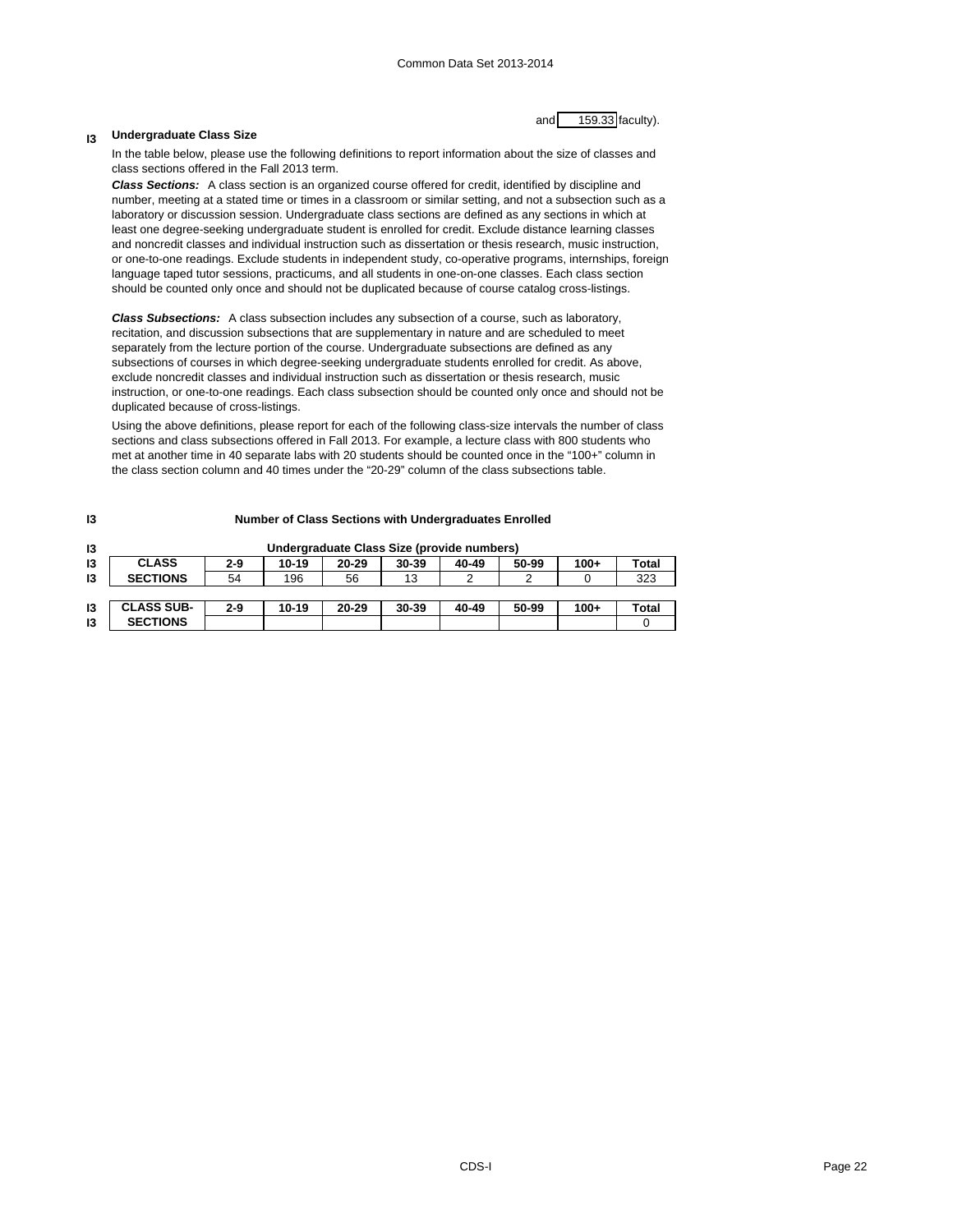# and 159.33 faculty).

#### **I3 Undergraduate Class Size**

In the table below, please use the following definitions to report information about the size of classes and class sections offered in the Fall 2013 term.

*Class Sections:* A class section is an organized course offered for credit, identified by discipline and number, meeting at a stated time or times in a classroom or similar setting, and not a subsection such as a laboratory or discussion session. Undergraduate class sections are defined as any sections in which at least one degree-seeking undergraduate student is enrolled for credit. Exclude distance learning classes and noncredit classes and individual instruction such as dissertation or thesis research, music instruction, or one-to-one readings. Exclude students in independent study, co-operative programs, internships, foreign language taped tutor sessions, practicums, and all students in one-on-one classes. Each class section should be counted only once and should not be duplicated because of course catalog cross-listings.

*Class Subsections:* A class subsection includes any subsection of a course, such as laboratory, recitation, and discussion subsections that are supplementary in nature and are scheduled to meet separately from the lecture portion of the course. Undergraduate subsections are defined as any subsections of courses in which degree-seeking undergraduate students enrolled for credit. As above, exclude noncredit classes and individual instruction such as dissertation or thesis research, music instruction, or one-to-one readings. Each class subsection should be counted only once and should not be duplicated because of cross-listings.

Using the above definitions, please report for each of the following class-size intervals the number of class sections and class subsections offered in Fall 2013. For example, a lecture class with 800 students who met at another time in 40 separate labs with 20 students should be counted once in the "100+" column in the class section column and 40 times under the "20-29" column of the class subsections table.

| 13 | Number of Class Sections with Undergraduates Enrolled |         |         |       |                                            |       |       |        |              |
|----|-------------------------------------------------------|---------|---------|-------|--------------------------------------------|-------|-------|--------|--------------|
| 13 |                                                       |         |         |       | Undergraduate Class Size (provide numbers) |       |       |        |              |
| 13 | <b>CLASS</b>                                          | $2 - 9$ | $10-19$ | 20-29 | 30-39                                      | 40-49 | 50-99 | $100+$ | Total        |
| 13 | <b>SECTIONS</b>                                       | 54      | 196     | 56    | 13                                         |       |       |        | 323          |
|    |                                                       |         |         |       |                                            |       |       |        |              |
| 13 | <b>CLASS SUB-</b>                                     | $2 - 9$ | $10-19$ | 20-29 | 30-39                                      | 40-49 | 50-99 | $100+$ | <b>Total</b> |
| 13 | <b>SECTIONS</b>                                       |         |         |       |                                            |       |       |        |              |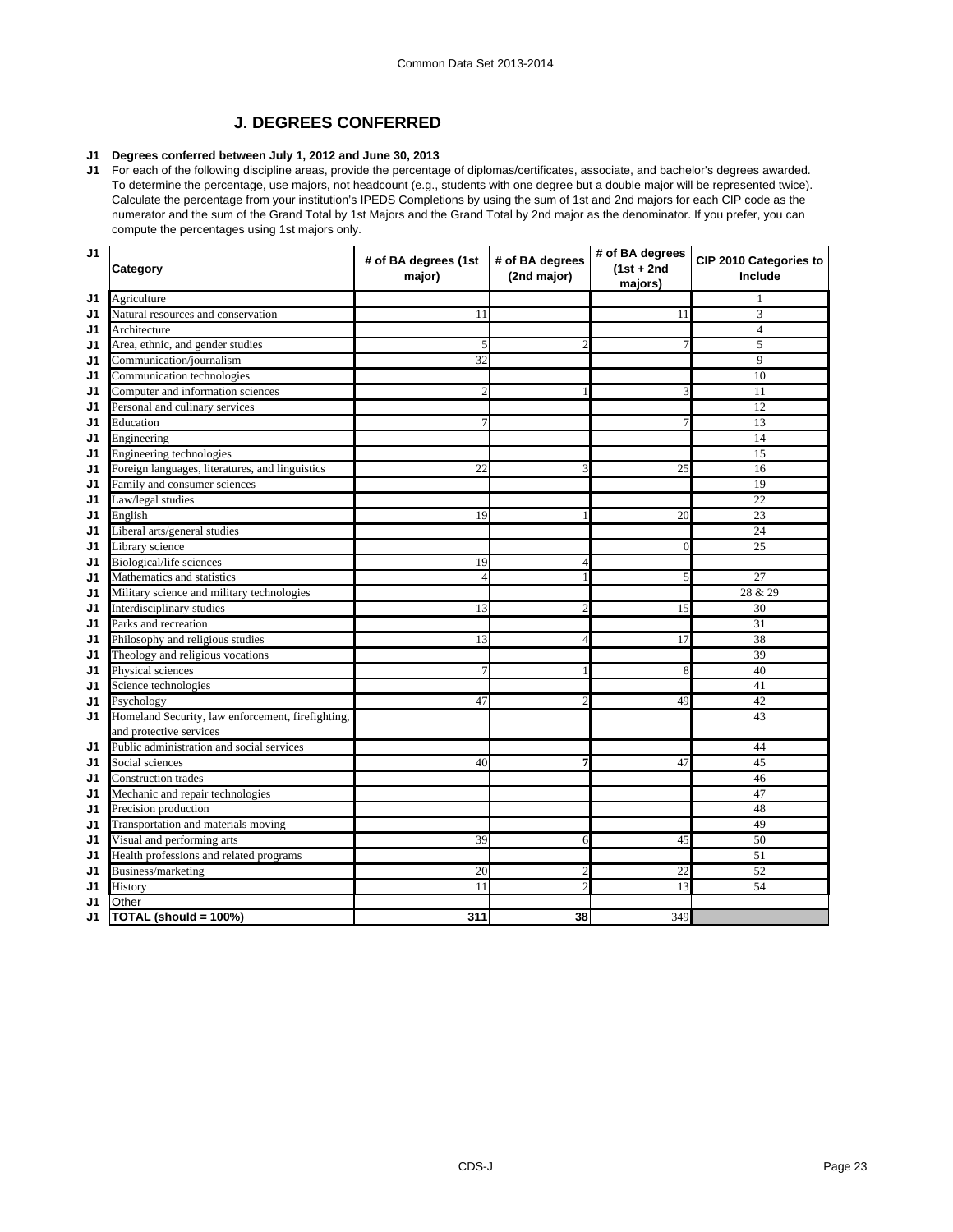# **J. DEGREES CONFERRED**

# **J1 Degrees conferred between July 1, 2012 and June 30, 2013**

**J1** For each of the following discipline areas, provide the percentage of diplomas/certificates, associate, and bachelor's degrees awarded. To determine the percentage, use majors, not headcount (e.g., students with one degree but a double major will be represented twice). Calculate the percentage from your institution's IPEDS Completions by using the sum of 1st and 2nd majors for each CIP code as the numerator and the sum of the Grand Total by 1st Majors and the Grand Total by 2nd major as the denominator. If you prefer, you can compute the percentages using 1st majors only.

| J1 | Category                                          | # of BA degrees (1st<br>major) | # of BA degrees<br>(2nd major) | # of BA degrees<br>$(1st + 2nd)$<br>majors) | CIP 2010 Categories to<br>Include |
|----|---------------------------------------------------|--------------------------------|--------------------------------|---------------------------------------------|-----------------------------------|
| J1 | Agriculture                                       |                                |                                |                                             |                                   |
| J1 | Natural resources and conservation                | 11                             |                                | 11                                          | 3                                 |
| J1 | Architecture                                      |                                |                                |                                             | $\overline{4}$                    |
| J1 | Area, ethnic, and gender studies                  | 5                              | $\overline{2}$                 | $\overline{7}$                              | $\overline{5}$                    |
| J1 | Communication/journalism                          | 32                             |                                |                                             | 9                                 |
| J1 | Communication technologies                        |                                |                                |                                             | 10                                |
| J1 | Computer and information sciences                 | $\mathfrak{D}$                 |                                | 3                                           | 11                                |
| J1 | Personal and culinary services                    |                                |                                |                                             | 12                                |
| J1 | Education                                         | 7                              |                                | $\overline{7}$                              | 13                                |
| J1 | Engineering                                       |                                |                                |                                             | 14                                |
| J1 | Engineering technologies                          |                                |                                |                                             | 15                                |
| J1 | Foreign languages, literatures, and linguistics   | 22                             | 3                              | 25                                          | 16                                |
| J1 | Family and consumer sciences                      |                                |                                |                                             | 19                                |
| J1 | Law/legal studies                                 |                                |                                |                                             | 22                                |
| J1 | English                                           | 19                             |                                | 20                                          | 23                                |
| J1 | Liberal arts/general studies                      |                                |                                |                                             | 24                                |
| J1 | Library science                                   |                                |                                | $\theta$                                    | 25                                |
| J1 | Biological/life sciences                          | 19                             | $\overline{4}$                 |                                             |                                   |
| J1 | Mathematics and statistics                        | $\overline{4}$                 |                                | 5                                           | $\overline{27}$                   |
| J1 | Military science and military technologies        |                                |                                |                                             | 28 & 29                           |
| J1 | Interdisciplinary studies                         | 13                             | $\overline{c}$                 | 15                                          | 30                                |
| J1 | Parks and recreation                              |                                |                                |                                             | 31                                |
| J1 | Philosophy and religious studies                  | 13                             | $\Delta$                       | 17                                          | 38                                |
| J1 | Theology and religious vocations                  |                                |                                |                                             | 39                                |
| J1 | Physical sciences                                 | 7                              |                                | 8                                           | 40                                |
| J1 | Science technologies                              |                                |                                |                                             | 41                                |
| J1 | Psychology                                        | 47                             | $\mathfrak{D}$                 | 49                                          | 42                                |
| J1 | Homeland Security, law enforcement, firefighting, |                                |                                |                                             | 43                                |
|    | and protective services                           |                                |                                |                                             |                                   |
| J1 | Public administration and social services         |                                |                                |                                             | 44                                |
| J1 | Social sciences                                   | 40                             | 7                              | 47                                          | 45                                |
| J1 | Construction trades                               |                                |                                |                                             | 46                                |
| J1 | Mechanic and repair technologies                  |                                |                                |                                             | 47                                |
| J1 | Precision production                              |                                |                                |                                             | 48                                |
| J1 | Transportation and materials moving               |                                |                                |                                             | 49                                |
| J1 | Visual and performing arts                        | 39                             | 6                              | 45                                          | 50                                |
| J1 | Health professions and related programs           |                                |                                |                                             | 51                                |
| J1 | Business/marketing                                | 20                             | $\overline{2}$                 | $\overline{22}$                             | 52                                |
| J1 | History                                           | 11                             | $\mathfrak{D}$                 | 13                                          | 54                                |
| J1 | Other                                             |                                |                                |                                             |                                   |
| J1 | TOTAL (should = 100%)                             | 311                            | 38                             | 349                                         |                                   |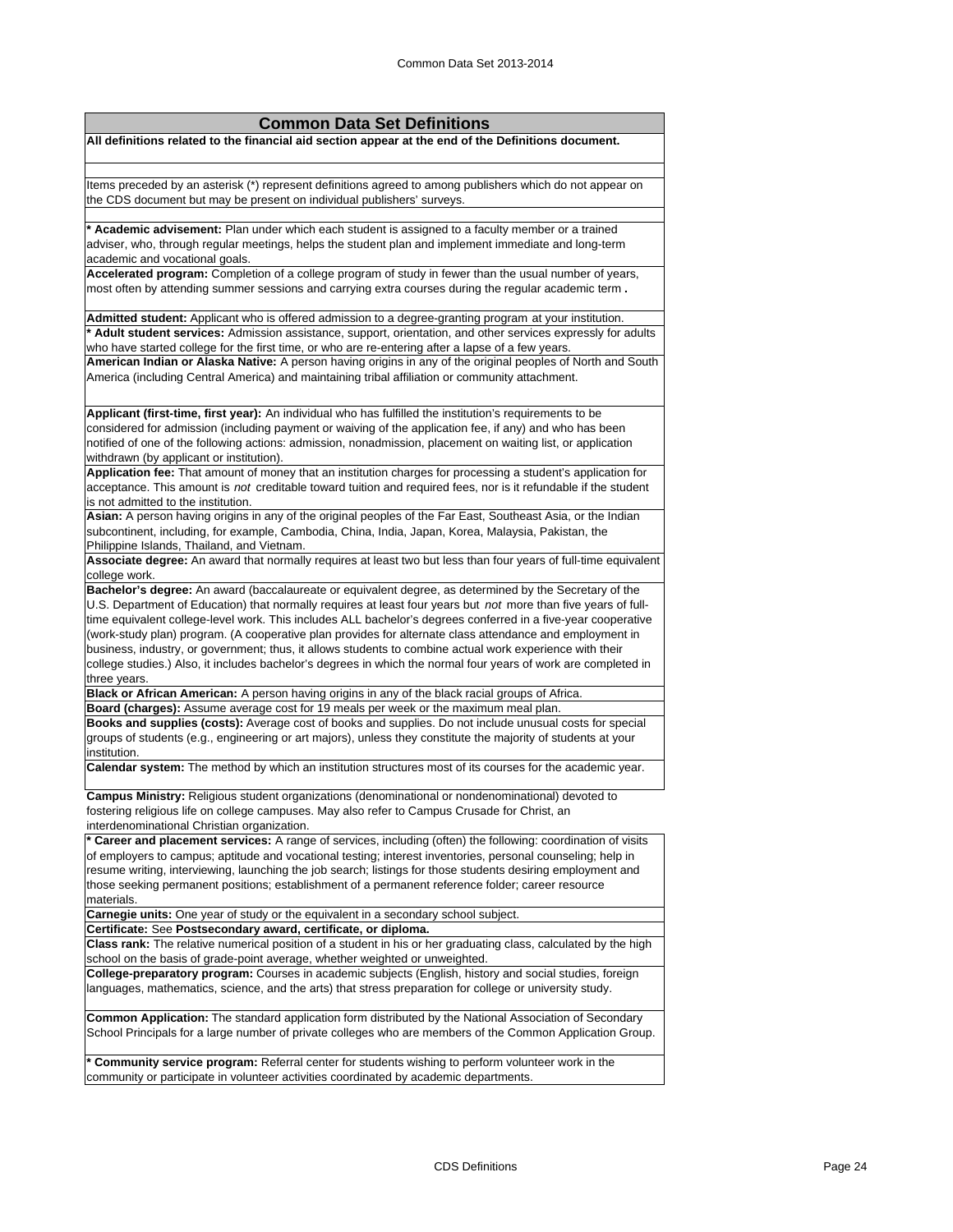| <b>Common Data Set Definitions</b>                                                                                                                                                                                         |  |  |  |  |
|----------------------------------------------------------------------------------------------------------------------------------------------------------------------------------------------------------------------------|--|--|--|--|
| All definitions related to the financial aid section appear at the end of the Definitions document.                                                                                                                        |  |  |  |  |
|                                                                                                                                                                                                                            |  |  |  |  |
| Items preceded by an asterisk (*) represent definitions agreed to among publishers which do not appear on                                                                                                                  |  |  |  |  |
| the CDS document but may be present on individual publishers' surveys.                                                                                                                                                     |  |  |  |  |
|                                                                                                                                                                                                                            |  |  |  |  |
| * Academic advisement: Plan under which each student is assigned to a faculty member or a trained                                                                                                                          |  |  |  |  |
| adviser, who, through regular meetings, helps the student plan and implement immediate and long-term                                                                                                                       |  |  |  |  |
| academic and vocational goals.<br>Accelerated program: Completion of a college program of study in fewer than the usual number of years,                                                                                   |  |  |  |  |
| most often by attending summer sessions and carrying extra courses during the regular academic term.                                                                                                                       |  |  |  |  |
|                                                                                                                                                                                                                            |  |  |  |  |
| Admitted student: Applicant who is offered admission to a degree-granting program at your institution.                                                                                                                     |  |  |  |  |
| * Adult student services: Admission assistance, support, orientation, and other services expressly for adults                                                                                                              |  |  |  |  |
| who have started college for the first time, or who are re-entering after a lapse of a few years.<br>American Indian or Alaska Native: A person having origins in any of the original peoples of North and South           |  |  |  |  |
| America (including Central America) and maintaining tribal affiliation or community attachment.                                                                                                                            |  |  |  |  |
|                                                                                                                                                                                                                            |  |  |  |  |
| Applicant (first-time, first year): An individual who has fulfilled the institution's requirements to be                                                                                                                   |  |  |  |  |
| considered for admission (including payment or waiving of the application fee, if any) and who has been                                                                                                                    |  |  |  |  |
| notified of one of the following actions: admission, nonadmission, placement on waiting list, or application                                                                                                               |  |  |  |  |
| withdrawn (by applicant or institution).                                                                                                                                                                                   |  |  |  |  |
| Application fee: That amount of money that an institution charges for processing a student's application for                                                                                                               |  |  |  |  |
| acceptance. This amount is not creditable toward tuition and required fees, nor is it refundable if the student<br>is not admitted to the institution.                                                                     |  |  |  |  |
| Asian: A person having origins in any of the original peoples of the Far East, Southeast Asia, or the Indian                                                                                                               |  |  |  |  |
| subcontinent, including, for example, Cambodia, China, India, Japan, Korea, Malaysia, Pakistan, the                                                                                                                        |  |  |  |  |
| Philippine Islands, Thailand, and Vietnam.                                                                                                                                                                                 |  |  |  |  |
| Associate degree: An award that normally requires at least two but less than four years of full-time equivalent                                                                                                            |  |  |  |  |
| college work.                                                                                                                                                                                                              |  |  |  |  |
| Bachelor's degree: An award (baccalaureate or equivalent degree, as determined by the Secretary of the<br>U.S. Department of Education) that normally requires at least four years but not more than five years of full-   |  |  |  |  |
| time equivalent college-level work. This includes ALL bachelor's degrees conferred in a five-year cooperative                                                                                                              |  |  |  |  |
| (work-study plan) program. (A cooperative plan provides for alternate class attendance and employment in                                                                                                                   |  |  |  |  |
| business, industry, or government; thus, it allows students to combine actual work experience with their                                                                                                                   |  |  |  |  |
| college studies.) Also, it includes bachelor's degrees in which the normal four years of work are completed in                                                                                                             |  |  |  |  |
| three years.<br>Black or African American: A person having origins in any of the black racial groups of Africa.                                                                                                            |  |  |  |  |
| Board (charges): Assume average cost for 19 meals per week or the maximum meal plan.                                                                                                                                       |  |  |  |  |
| Books and supplies (costs): Average cost of books and supplies. Do not include unusual costs for special                                                                                                                   |  |  |  |  |
| groups of students (e.g., engineering or art majors), unless they constitute the majority of students at your                                                                                                              |  |  |  |  |
| institution.                                                                                                                                                                                                               |  |  |  |  |
| Calendar system: The method by which an institution structures most of its courses for the academic year.                                                                                                                  |  |  |  |  |
| Campus Ministry: Religious student organizations (denominational or nondenominational) devoted to                                                                                                                          |  |  |  |  |
| fostering religious life on college campuses. May also refer to Campus Crusade for Christ, an                                                                                                                              |  |  |  |  |
| interdenominational Christian organization.                                                                                                                                                                                |  |  |  |  |
| * Career and placement services: A range of services, including (often) the following: coordination of visits                                                                                                              |  |  |  |  |
| of employers to campus; aptitude and vocational testing; interest inventories, personal counseling; help in<br>resume writing, interviewing, launching the job search; listings for those students desiring employment and |  |  |  |  |
| those seeking permanent positions; establishment of a permanent reference folder; career resource                                                                                                                          |  |  |  |  |
| materials.                                                                                                                                                                                                                 |  |  |  |  |
| Carnegie units: One year of study or the equivalent in a secondary school subject.                                                                                                                                         |  |  |  |  |
| Certificate: See Postsecondary award, certificate, or diploma.                                                                                                                                                             |  |  |  |  |
| Class rank: The relative numerical position of a student in his or her graduating class, calculated by the high                                                                                                            |  |  |  |  |
| school on the basis of grade-point average, whether weighted or unweighted.<br>College-preparatory program: Courses in academic subjects (English, history and social studies, foreign                                     |  |  |  |  |
| languages, mathematics, science, and the arts) that stress preparation for college or university study.                                                                                                                    |  |  |  |  |
| Common Application: The standard application form distributed by the National Association of Secondary                                                                                                                     |  |  |  |  |
| School Principals for a large number of private colleges who are members of the Common Application Group.                                                                                                                  |  |  |  |  |
| <b>* Community service program:</b> Referral center for students wishing to perform volunteer work in the                                                                                                                  |  |  |  |  |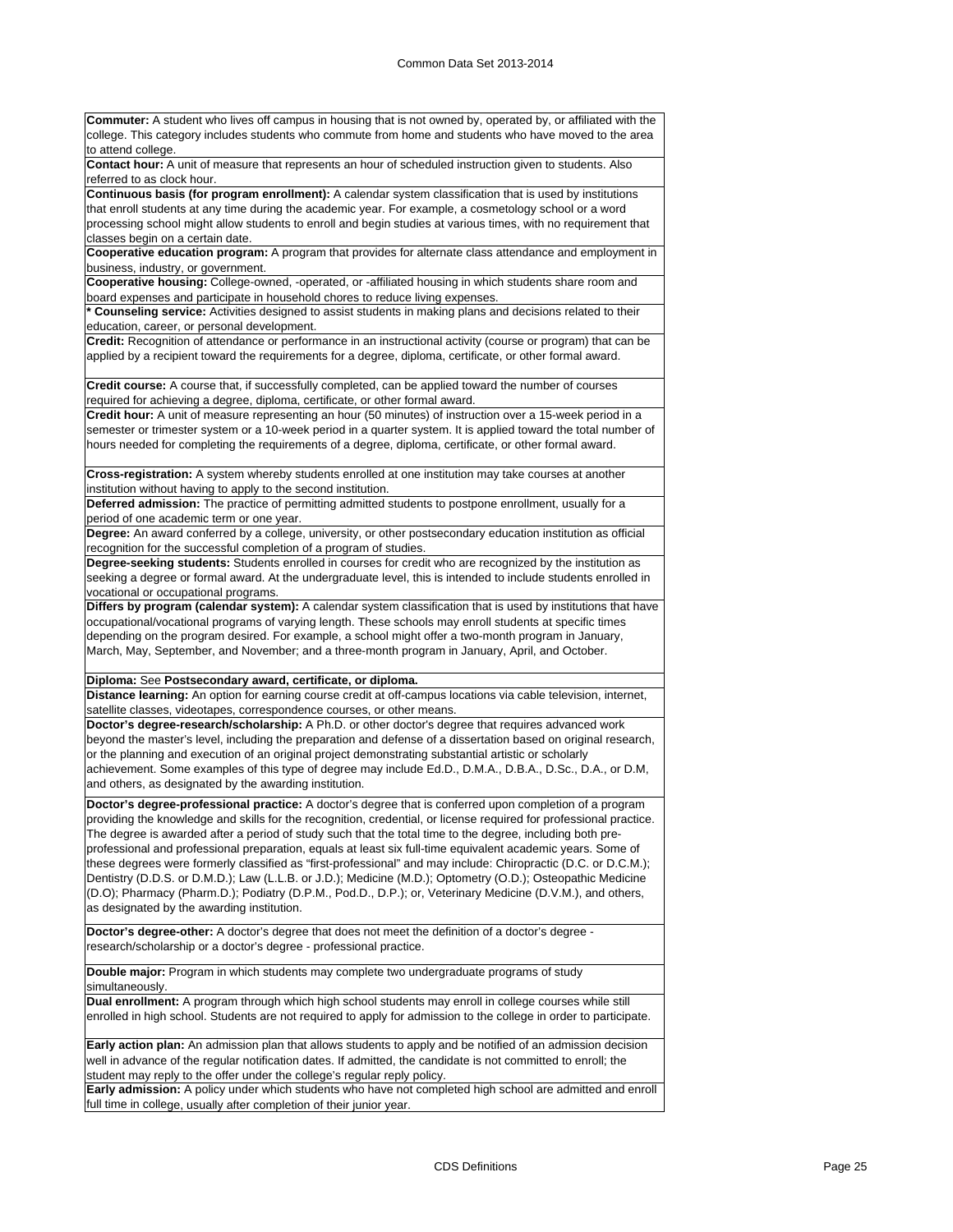**Commuter:** A student who lives off campus in housing that is not owned by, operated by, or affiliated with the college. This category includes students who commute from home and students who have moved to the area to attend college. **Contact hour:** A unit of measure that represents an hour of scheduled instruction given to students. Also referred to as clock hour. **Continuous basis (for program enrollment):** A calendar system classification that is used by institutions that enroll students at any time during the academic year. For example, a cosmetology school or a word processing school might allow students to enroll and begin studies at various times, with no requirement that classes begin on a certain date. **Cooperative education program:** A program that provides for alternate class attendance and employment in business, industry, or government. **Cooperative housing:** College-owned, -operated, or -affiliated housing in which students share room and board expenses and participate in household chores to reduce living expenses. **\* Counseling service:** Activities designed to assist students in making plans and decisions related to their education, career, or personal development. **Credit:** Recognition of attendance or performance in an instructional activity (course or program) that can be applied by a recipient toward the requirements for a degree, diploma, certificate, or other formal award. **Credit course:** A course that, if successfully completed, can be applied toward the number of courses required for achieving a degree, diploma, certificate, or other formal award. **Credit hour:** A unit of measure representing an hour (50 minutes) of instruction over a 15-week period in a semester or trimester system or a 10-week period in a quarter system. It is applied toward the total number of hours needed for completing the requirements of a degree, diploma, certificate, or other formal award. **Cross-registration:** A system whereby students enrolled at one institution may take courses at another institution without having to apply to the second institution. **Deferred admission:** The practice of permitting admitted students to postpone enrollment, usually for a period of one academic term or one year. **Degree:** An award conferred by a college, university, or other postsecondary education institution as official recognition for the successful completion of a program of studies. **Degree-seeking students:** Students enrolled in courses for credit who are recognized by the institution as seeking a degree or formal award. At the undergraduate level, this is intended to include students enrolled in vocational or occupational programs. **Differs by program (calendar system):** A calendar system classification that is used by institutions that have occupational/vocational programs of varying length. These schools may enroll students at specific times depending on the program desired. For example, a school might offer a two-month program in January, March, May, September, and November; and a three-month program in January, April, and October. **Diploma:** See **Postsecondary award, certificate, or diploma. Distance learning:** An option for earning course credit at off-campus locations via cable television, internet, satellite classes, videotapes, correspondence courses, or other means. **Doctor's degree-research/scholarship:** A Ph.D. or other doctor's degree that requires advanced work beyond the master's level, including the preparation and defense of a dissertation based on original research, or the planning and execution of an original project demonstrating substantial artistic or scholarly achievement. Some examples of this type of degree may include Ed.D., D.M.A., D.B.A., D.Sc., D.A., or D.M, and others, as designated by the awarding institution. **Doctor's degree-professional practice:** A doctor's degree that is conferred upon completion of a program providing the knowledge and skills for the recognition, credential, or license required for professional practice. The degree is awarded after a period of study such that the total time to the degree, including both preprofessional and professional preparation, equals at least six full-time equivalent academic years. Some of these degrees were formerly classified as "first-professional" and may include: Chiropractic (D.C. or D.C.M.); Dentistry (D.D.S. or D.M.D.); Law (L.L.B. or J.D.); Medicine (M.D.); Optometry (O.D.); Osteopathic Medicine (D.O); Pharmacy (Pharm.D.); Podiatry (D.P.M., Pod.D., D.P.); or, Veterinary Medicine (D.V.M.), and others, as designated by the awarding institution. **Doctor's degree-other:** A doctor's degree that does not meet the definition of a doctor's degree research/scholarship or a doctor's degree - professional practice. **Double major:** Program in which students may complete two undergraduate programs of study simultaneously. **Dual enrollment:** A program through which high school students may enroll in college courses while still enrolled in high school. Students are not required to apply for admission to the college in order to participate. **Early action plan:** An admission plan that allows students to apply and be notified of an admission decision well in advance of the regular notification dates. If admitted, the candidate is not committed to enroll; the student may reply to the offer under the college's regular reply policy. **Early admission:** A policy under which students who have not completed high school are admitted and enroll full time in college, usually after completion of their junior year.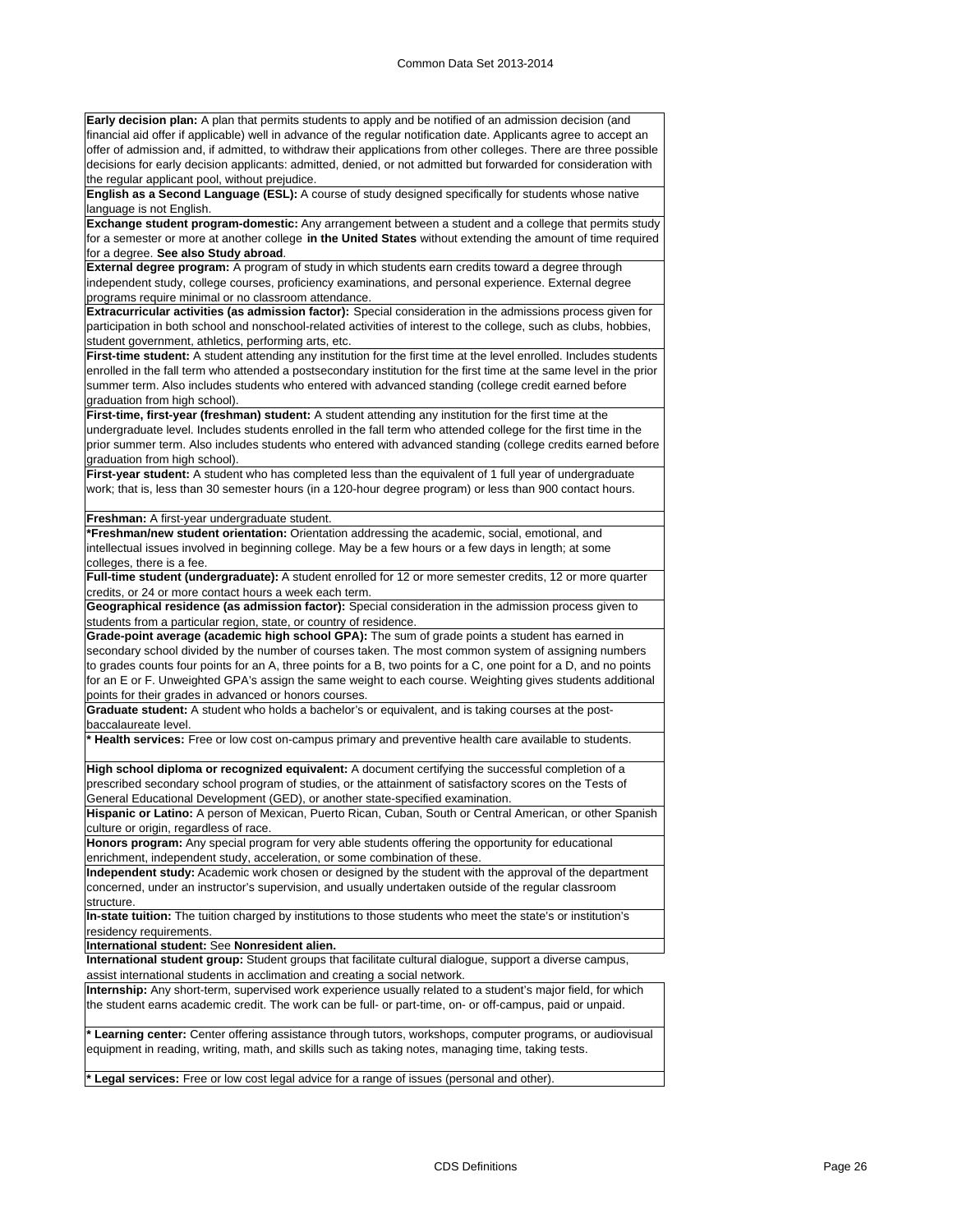**Early decision plan:** A plan that permits students to apply and be notified of an admission decision (and financial aid offer if applicable) well in advance of the regular notification date. Applicants agree to accept an offer of admission and, if admitted, to withdraw their applications from other colleges. There are three possible decisions for early decision applicants: admitted, denied, or not admitted but forwarded for consideration with the regular applicant pool, without prejudice.

**English as a Second Language (ESL):** A course of study designed specifically for students whose native language is not English.

**Exchange student program-domestic:** Any arrangement between a student and a college that permits study for a semester or more at another college **in the United States** without extending the amount of time required for a degree. **See also Study abroad**.

**External degree program:** A program of study in which students earn credits toward a degree through independent study, college courses, proficiency examinations, and personal experience. External degree programs require minimal or no classroom attendance.

**Extracurricular activities (as admission factor):** Special consideration in the admissions process given for participation in both school and nonschool-related activities of interest to the college, such as clubs, hobbies, student government, athletics, performing arts, etc.

**First-time student:** A student attending any institution for the first time at the level enrolled. Includes students enrolled in the fall term who attended a postsecondary institution for the first time at the same level in the prior summer term. Also includes students who entered with advanced standing (college credit earned before graduation from high school).

**First-time, first-year (freshman) student:** A student attending any institution for the first time at the undergraduate level. Includes students enrolled in the fall term who attended college for the first time in the prior summer term. Also includes students who entered with advanced standing (college credits earned before graduation from high school).

First-year student: A student who has completed less than the equivalent of 1 full year of undergraduate work; that is, less than 30 semester hours (in a 120-hour degree program) or less than 900 contact hours.

#### **Freshman:** A first-year undergraduate student.

**\*Freshman/new student orientation:** Orientation addressing the academic, social, emotional, and intellectual issues involved in beginning college. May be a few hours or a few days in length; at some colleges, there is a fee.

**Full-time student (undergraduate):** A student enrolled for 12 or more semester credits, 12 or more quarter credits, or 24 or more contact hours a week each term.

**Geographical residence (as admission factor):** Special consideration in the admission process given to students from a particular region, state, or country of residence.

**Grade-point average (academic high school GPA):** The sum of grade points a student has earned in secondary school divided by the number of courses taken. The most common system of assigning numbers to grades counts four points for an A, three points for a B, two points for a C, one point for a D, and no points for an E or F. Unweighted GPA's assign the same weight to each course. Weighting gives students additional points for their grades in advanced or honors courses.

**Graduate student:** A student who holds a bachelor's or equivalent, and is taking courses at the postbaccalaureate level.

**\* Health services:** Free or low cost on-campus primary and preventive health care available to students.

**High school diploma or recognized equivalent:** A document certifying the successful completion of a prescribed secondary school program of studies, or the attainment of satisfactory scores on the Tests of General Educational Development (GED), or another state-specified examination.

**Hispanic or Latino:** A person of Mexican, Puerto Rican, Cuban, South or Central American, or other Spanish culture or origin, regardless of race.

**Honors program:** Any special program for very able students offering the opportunity for educational enrichment, independent study, acceleration, or some combination of these.

**Independent study:** Academic work chosen or designed by the student with the approval of the department concerned, under an instructor's supervision, and usually undertaken outside of the regular classroom structure.

**In-state tuition:** The tuition charged by institutions to those students who meet the state's or institution's residency requirements.

**International student:** See **Nonresident alien.**

**International student group:** Student groups that facilitate cultural dialogue, support a diverse campus, assist international students in acclimation and creating a social network.

**Internship:** Any short-term, supervised work experience usually related to a student's major field, for which the student earns academic credit. The work can be full- or part-time, on- or off-campus, paid or unpaid.

**\* Learning center:** Center offering assistance through tutors, workshops, computer programs, or audiovisual equipment in reading, writing, math, and skills such as taking notes, managing time, taking tests.

**\* Legal services:** Free or low cost legal advice for a range of issues (personal and other).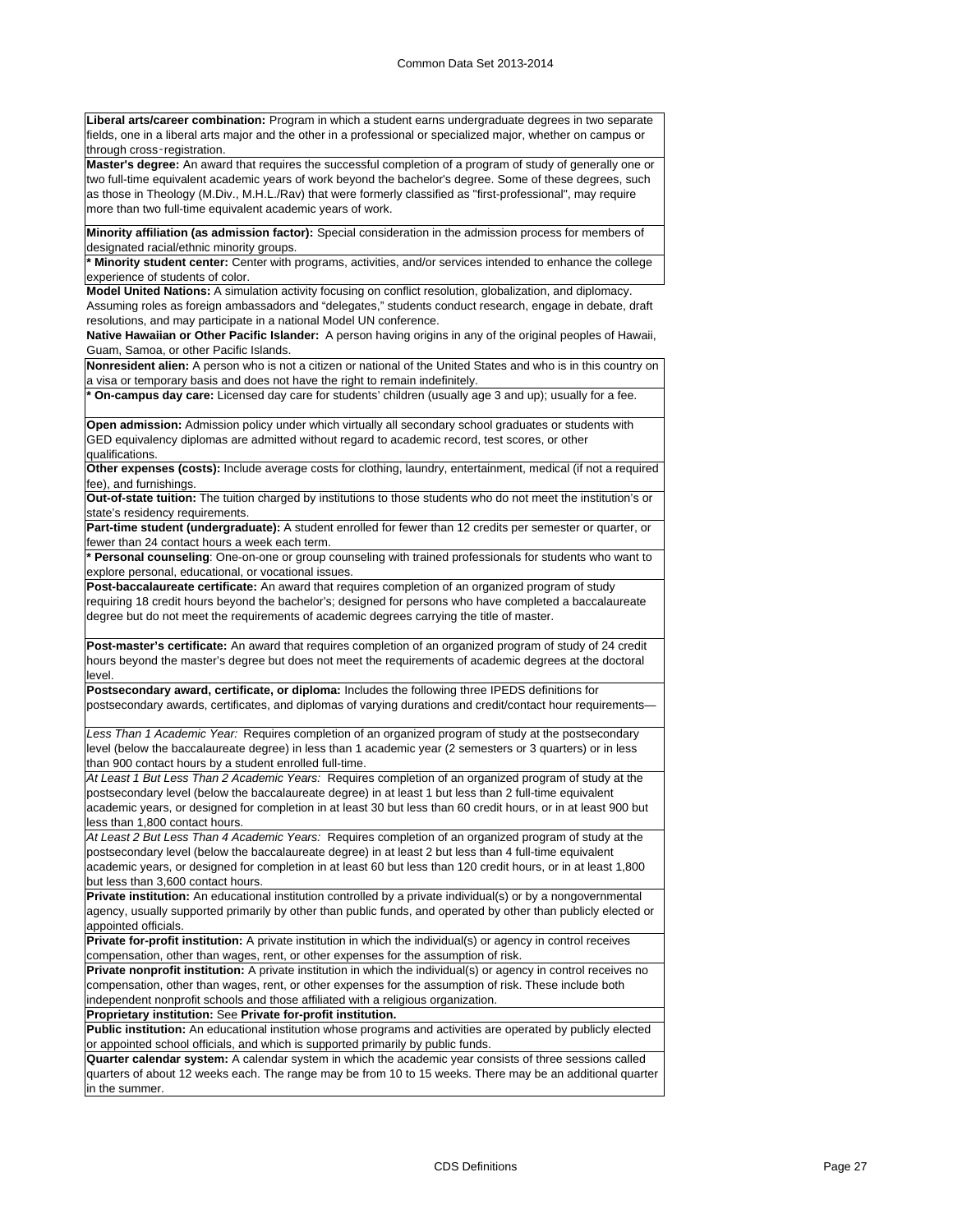**Liberal arts/career combination:** Program in which a student earns undergraduate degrees in two separate fields, one in a liberal arts major and the other in a professional or specialized major, whether on campus or through cross‑registration.

**Master's degree:** An award that requires the successful completion of a program of study of generally one or two full-time equivalent academic years of work beyond the bachelor's degree. Some of these degrees, such as those in Theology (M.Div., M.H.L./Rav) that were formerly classified as "first-professional", may require more than two full-time equivalent academic years of work.

**Minority affiliation (as admission factor):** Special consideration in the admission process for members of designated racial/ethnic minority groups.

**\* Minority student center:** Center with programs, activities, and/or services intended to enhance the college experience of students of color.

**Model United Nations:** A simulation activity focusing on conflict resolution, globalization, and diplomacy. Assuming roles as foreign ambassadors and "delegates," students conduct research, engage in debate, draft

resolutions, and may participate in a national Model UN conference.

**Native Hawaiian or Other Pacific Islander:** A person having origins in any of the original peoples of Hawaii, Guam, Samoa, or other Pacific Islands.

**Nonresident alien:** A person who is not a citizen or national of the United States and who is in this country on a visa or temporary basis and does not have the right to remain indefinitely.

**\* On-campus day care:** Licensed day care for students' children (usually age 3 and up); usually for a fee.

**Open admission:** Admission policy under which virtually all secondary school graduates or students with GED equivalency diplomas are admitted without regard to academic record, test scores, or other qualifications.

**Other expenses (costs):** Include average costs for clothing, laundry, entertainment, medical (if not a required fee), and furnishings.

**Out-of-state tuition:** The tuition charged by institutions to those students who do not meet the institution's or state's residency requirements.

**Part-time student (undergraduate):** A student enrolled for fewer than 12 credits per semester or quarter, or fewer than 24 contact hours a week each term.

**\* Personal counseling**: One-on-one or group counseling with trained professionals for students who want to explore personal, educational, or vocational issues.

**Post-baccalaureate certificate:** An award that requires completion of an organized program of study requiring 18 credit hours beyond the bachelor's; designed for persons who have completed a baccalaureate degree but do not meet the requirements of academic degrees carrying the title of master.

**Post-master's certificate:** An award that requires completion of an organized program of study of 24 credit hours beyond the master's degree but does not meet the requirements of academic degrees at the doctoral level.

**Postsecondary award, certificate, or diploma:** Includes the following three IPEDS definitions for postsecondary awards, certificates, and diplomas of varying durations and credit/contact hour requirements—

*Less Than 1 Academic Year:* Requires completion of an organized program of study at the postsecondary level (below the baccalaureate degree) in less than 1 academic year (2 semesters or 3 quarters) or in less than 900 contact hours by a student enrolled full-time.

*At Least 1 But Less Than 2 Academic Years:* Requires completion of an organized program of study at the postsecondary level (below the baccalaureate degree) in at least 1 but less than 2 full-time equivalent academic years, or designed for completion in at least 30 but less than 60 credit hours, or in at least 900 but less than 1,800 contact hours.

*At Least 2 But Less Than 4 Academic Years:* Requires completion of an organized program of study at the postsecondary level (below the baccalaureate degree) in at least 2 but less than 4 full-time equivalent academic years, or designed for completion in at least 60 but less than 120 credit hours, or in at least 1,800 but less than 3,600 contact hours.

**Private institution:** An educational institution controlled by a private individual(s) or by a nongovernmental agency, usually supported primarily by other than public funds, and operated by other than publicly elected or appointed officials.

**Private for-profit institution:** A private institution in which the individual(s) or agency in control receives compensation, other than wages, rent, or other expenses for the assumption of risk.

**Private nonprofit institution:** A private institution in which the individual(s) or agency in control receives no compensation, other than wages, rent, or other expenses for the assumption of risk. These include both independent nonprofit schools and those affiliated with a religious organization.

**Proprietary institution:** See **Private for-profit institution.**

**Public institution:** An educational institution whose programs and activities are operated by publicly elected or appointed school officials, and which is supported primarily by public funds.

**Quarter calendar system:** A calendar system in which the academic year consists of three sessions called quarters of about 12 weeks each. The range may be from 10 to 15 weeks. There may be an additional quarter in the summer.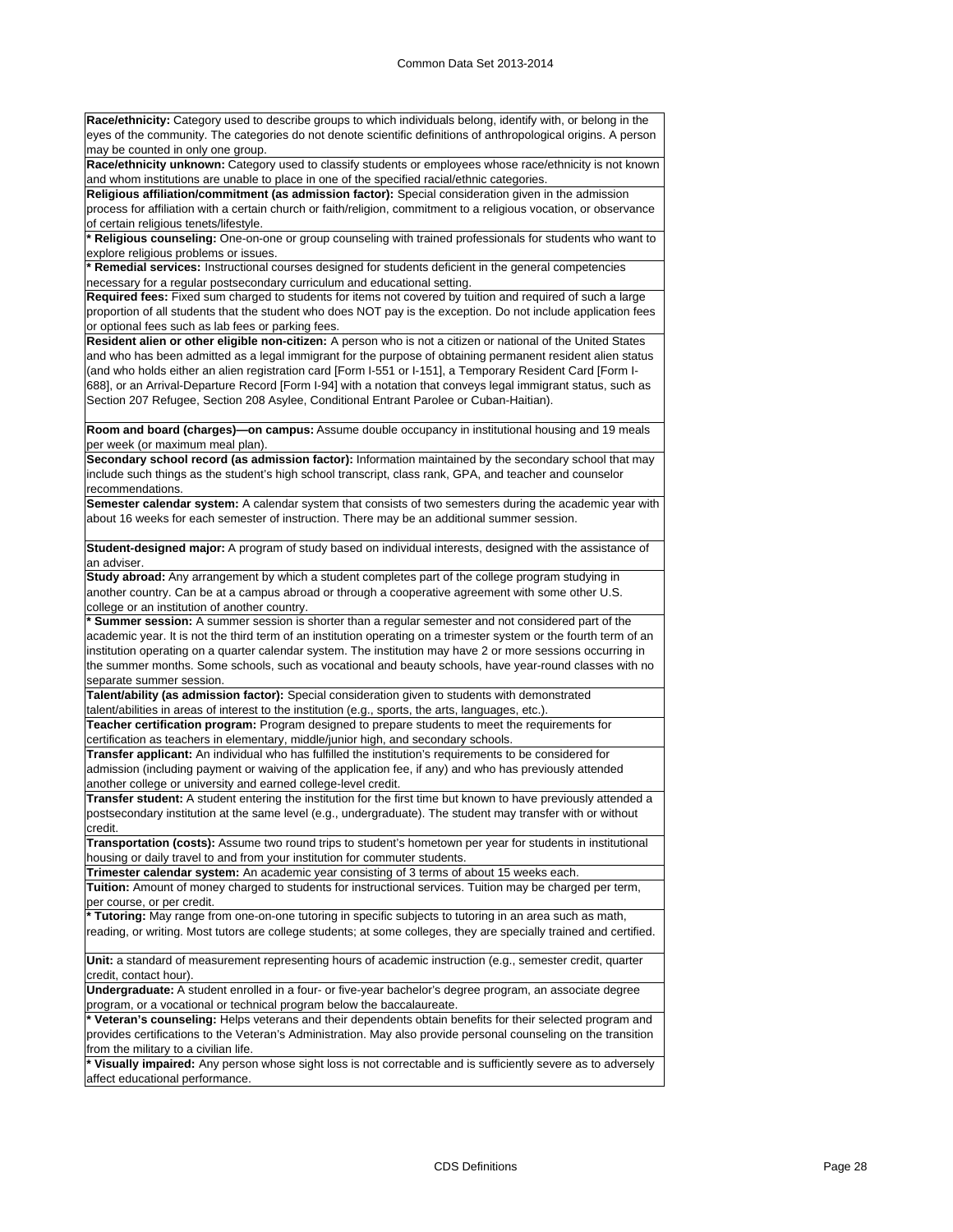**Race/ethnicity:** Category used to describe groups to which individuals belong, identify with, or belong in the eyes of the community. The categories do not denote scientific definitions of anthropological origins. A person may be counted in only one group.

**Race/ethnicity unknown:** Category used to classify students or employees whose race/ethnicity is not known and whom institutions are unable to place in one of the specified racial/ethnic categories.

**Religious affiliation/commitment (as admission factor):** Special consideration given in the admission process for affiliation with a certain church or faith/religion, commitment to a religious vocation, or observance of certain religious tenets/lifestyle.

**\* Religious counseling:** One-on-one or group counseling with trained professionals for students who want to explore religious problems or issues.

**\* Remedial services:** Instructional courses designed for students deficient in the general competencies necessary for a regular postsecondary curriculum and educational setting.

**Required fees:** Fixed sum charged to students for items not covered by tuition and required of such a large proportion of all students that the student who does NOT pay is the exception. Do not include application fees or optional fees such as lab fees or parking fees.

**Resident alien or other eligible non-citizen:** A person who is not a citizen or national of the United States and who has been admitted as a legal immigrant for the purpose of obtaining permanent resident alien status (and who holds either an alien registration card [Form I-551 or I-151], a Temporary Resident Card [Form I-688], or an Arrival-Departure Record [Form I-94] with a notation that conveys legal immigrant status, such as Section 207 Refugee, Section 208 Asylee, Conditional Entrant Parolee or Cuban-Haitian).

**Room and board (charges)—on campus:** Assume double occupancy in institutional housing and 19 meals per week (or maximum meal plan).

**Secondary school record (as admission factor):** Information maintained by the secondary school that may include such things as the student's high school transcript, class rank, GPA, and teacher and counselor recommendations.

**Semester calendar system:** A calendar system that consists of two semesters during the academic year with about 16 weeks for each semester of instruction. There may be an additional summer session.

**Student-designed major:** A program of study based on individual interests, designed with the assistance of an adviser.

**Study abroad:** Any arrangement by which a student completes part of the college program studying in another country. Can be at a campus abroad or through a cooperative agreement with some other U.S. college or an institution of another country.

**\* Summer session:** A summer session is shorter than a regular semester and not considered part of the academic year. It is not the third term of an institution operating on a trimester system or the fourth term of an institution operating on a quarter calendar system. The institution may have 2 or more sessions occurring in the summer months. Some schools, such as vocational and beauty schools, have year-round classes with no separate summer session.

**Talent/ability (as admission factor):** Special consideration given to students with demonstrated talent/abilities in areas of interest to the institution (e.g., sports, the arts, languages, etc.) **Teacher certification program:** Program designed to prepare students to meet the requirements for

certification as teachers in elementary, middle/junior high, and secondary schools.

**Transfer applicant:** An individual who has fulfilled the institution's requirements to be considered for admission (including payment or waiving of the application fee, if any) and who has previously attended another college or university and earned college-level credit.

**Transfer student:** A student entering the institution for the first time but known to have previously attended a postsecondary institution at the same level (e.g., undergraduate). The student may transfer with or without credit.

**Transportation (costs):** Assume two round trips to student's hometown per year for students in institutional housing or daily travel to and from your institution for commuter students.

**Trimester calendar system:** An academic year consisting of 3 terms of about 15 weeks each.

**Tuition:** Amount of money charged to students for instructional services. Tuition may be charged per term, per course, or per credit.

**\* Tutoring:** May range from one-on-one tutoring in specific subjects to tutoring in an area such as math, reading, or writing. Most tutors are college students; at some colleges, they are specially trained and certified.

**Unit:** a standard of measurement representing hours of academic instruction (e.g., semester credit, quarter credit, contact hour).

**Undergraduate:** A student enrolled in a four- or five-year bachelor's degree program, an associate degree program, or a vocational or technical program below the baccalaureate.

**\* Veteran's counseling:** Helps veterans and their dependents obtain benefits for their selected program and provides certifications to the Veteran's Administration. May also provide personal counseling on the transition from the military to a civilian life.

**\* Visually impaired:** Any person whose sight loss is not correctable and is sufficiently severe as to adversely affect educational performance.